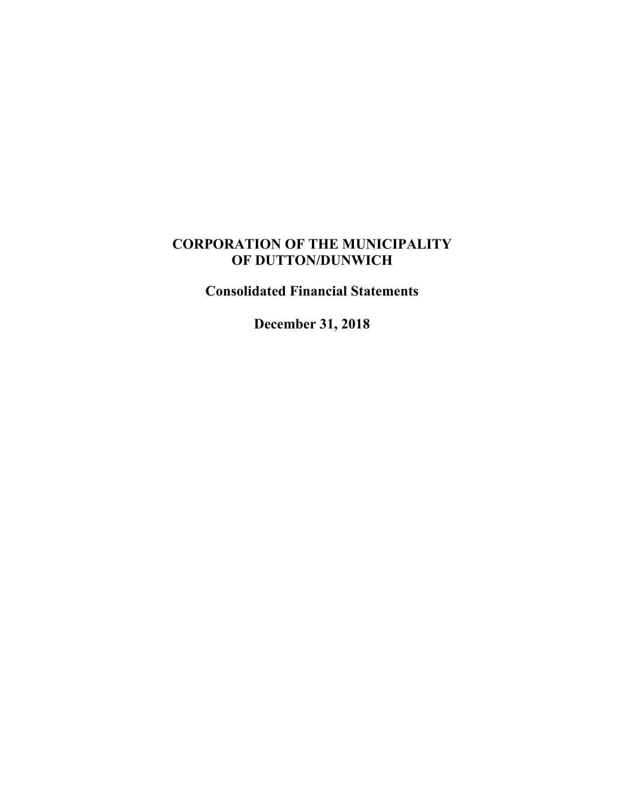# **CORPORATION OF THE MUNICIPALITY OF DUTTON/DUNWICH**

**Consolidated Financial Statements**

**December 31, 2018**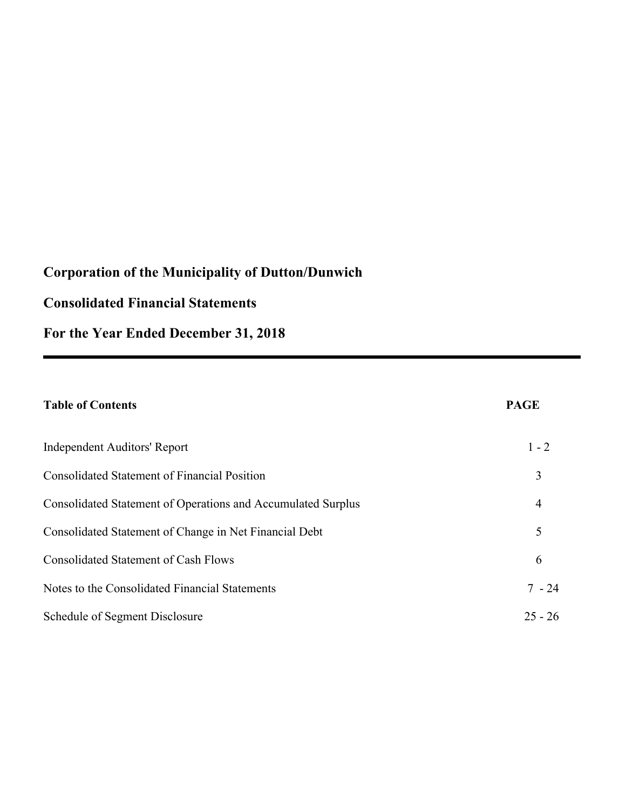# **Consolidated Financial Statements**

**For the Year Ended December 31, 2018**

# **Table of Contents PAGE** Independent Auditors' Report 1 - 2 Consolidated Statement of Financial Position 3 Consolidated Statement of Operations and Accumulated Surplus 4 Consolidated Statement of Change in Net Financial Debt 5 Consolidated Statement of Cash Flows 6 Notes to the Consolidated Financial Statements 7 - 24 Schedule of Segment Disclosure 25 - 26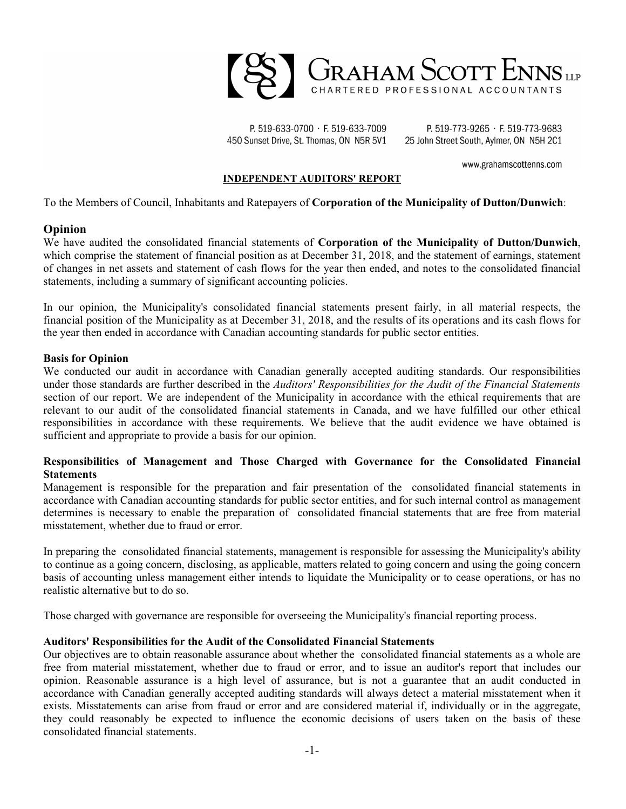

P. 519-633-0700 · F. 519-633-7009 450 Sunset Drive, St. Thomas, ON N5R 5V1

P. 519-773-9265 · F. 519-773-9683 25 John Street South, Aylmer, ON N5H 2C1

www.grahamscottenns.com

#### **INDEPENDENT AUDITORS' REPORT**

To the Members of Council, Inhabitants and Ratepayers of **Corporation of the Municipality of Dutton/Dunwich**:

#### **Opinion**

We have audited the consolidated financial statements of **Corporation of the Municipality of Dutton/Dunwich**, which comprise the statement of financial position as at December 31, 2018, and the statement of earnings, statement of changes in net assets and statement of cash flows for the year then ended, and notes to the consolidated financial statements, including a summary of significant accounting policies.

In our opinion, the Municipality's consolidated financial statements present fairly, in all material respects, the financial position of the Municipality as at December 31, 2018, and the results of its operations and its cash flows for the year then ended in accordance with Canadian accounting standards for public sector entities.

#### **Basis for Opinion**

We conducted our audit in accordance with Canadian generally accepted auditing standards. Our responsibilities under those standards are further described in the *Auditors' Responsibilities for the Audit of the Financial Statements* section of our report. We are independent of the Municipality in accordance with the ethical requirements that are relevant to our audit of the consolidated financial statements in Canada, and we have fulfilled our other ethical responsibilities in accordance with these requirements. We believe that the audit evidence we have obtained is sufficient and appropriate to provide a basis for our opinion.

#### **Responsibilities of Management and Those Charged with Governance for the Consolidated Financial Statements**

Management is responsible for the preparation and fair presentation of the consolidated financial statements in accordance with Canadian accounting standards for public sector entities, and for such internal control as management determines is necessary to enable the preparation of consolidated financial statements that are free from material misstatement, whether due to fraud or error.

In preparing the consolidated financial statements, management is responsible for assessing the Municipality's ability to continue as a going concern, disclosing, as applicable, matters related to going concern and using the going concern basis of accounting unless management either intends to liquidate the Municipality or to cease operations, or has no realistic alternative but to do so.

Those charged with governance are responsible for overseeing the Municipality's financial reporting process.

#### **Auditors' Responsibilities for the Audit of the Consolidated Financial Statements**

Our objectives are to obtain reasonable assurance about whether the consolidated financial statements as a whole are free from material misstatement, whether due to fraud or error, and to issue an auditor's report that includes our opinion. Reasonable assurance is a high level of assurance, but is not a guarantee that an audit conducted in accordance with Canadian generally accepted auditing standards will always detect a material misstatement when it exists. Misstatements can arise from fraud or error and are considered material if, individually or in the aggregate, they could reasonably be expected to influence the economic decisions of users taken on the basis of these consolidated financial statements.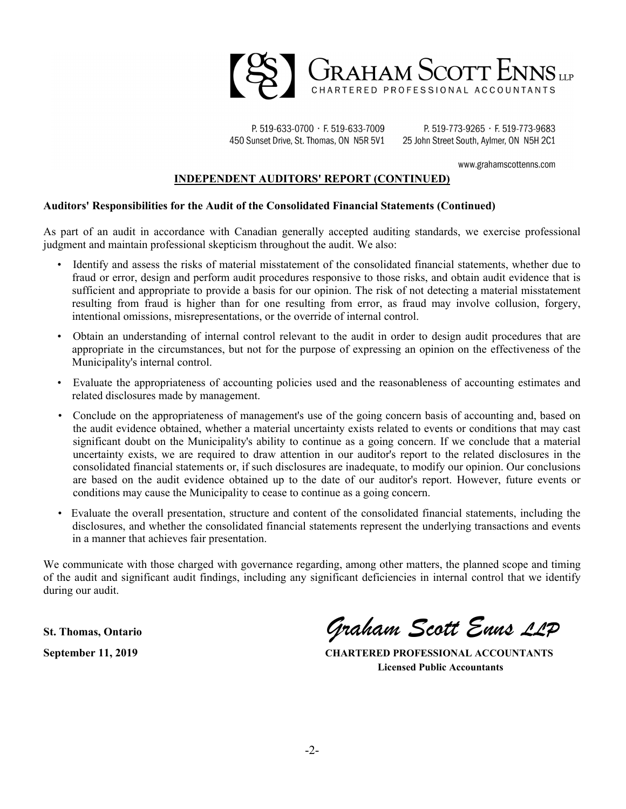

P. 519-633-0700 · F. 519-633-7009 450 Sunset Drive, St. Thomas, ON N5R 5V1

P. 519-773-9265 · F. 519-773-9683 25 John Street South, Aylmer, ON N5H 2C1

www.grahamscottenns.com

#### **INDEPENDENT AUDITORS' REPORT (CONTINUED)**

#### **Auditors' Responsibilities for the Audit of the Consolidated Financial Statements (Continued)**

As part of an audit in accordance with Canadian generally accepted auditing standards, we exercise professional judgment and maintain professional skepticism throughout the audit. We also:

- Identify and assess the risks of material misstatement of the consolidated financial statements, whether due to fraud or error, design and perform audit procedures responsive to those risks, and obtain audit evidence that is sufficient and appropriate to provide a basis for our opinion. The risk of not detecting a material misstatement resulting from fraud is higher than for one resulting from error, as fraud may involve collusion, forgery, intentional omissions, misrepresentations, or the override of internal control.
- Obtain an understanding of internal control relevant to the audit in order to design audit procedures that are appropriate in the circumstances, but not for the purpose of expressing an opinion on the effectiveness of the Municipality's internal control.
- Evaluate the appropriateness of accounting policies used and the reasonableness of accounting estimates and related disclosures made by management.
- Conclude on the appropriateness of management's use of the going concern basis of accounting and, based on the audit evidence obtained, whether a material uncertainty exists related to events or conditions that may cast significant doubt on the Municipality's ability to continue as a going concern. If we conclude that a material uncertainty exists, we are required to draw attention in our auditor's report to the related disclosures in the consolidated financial statements or, if such disclosures are inadequate, to modify our opinion. Our conclusions are based on the audit evidence obtained up to the date of our auditor's report. However, future events or conditions may cause the Municipality to cease to continue as a going concern.
- Evaluate the overall presentation, structure and content of the consolidated financial statements, including the disclosures, and whether the consolidated financial statements represent the underlying transactions and events in a manner that achieves fair presentation.

We communicate with those charged with governance regarding, among other matters, the planned scope and timing of the audit and significant audit findings, including any significant deficiencies in internal control that we identify during our audit.

**St. Thomas, Ontario** *Graham Scott Enns LLP*

**September 11, 2019 CHARTERED PROFESSIONAL ACCOUNTANTS Licensed Public Accountants**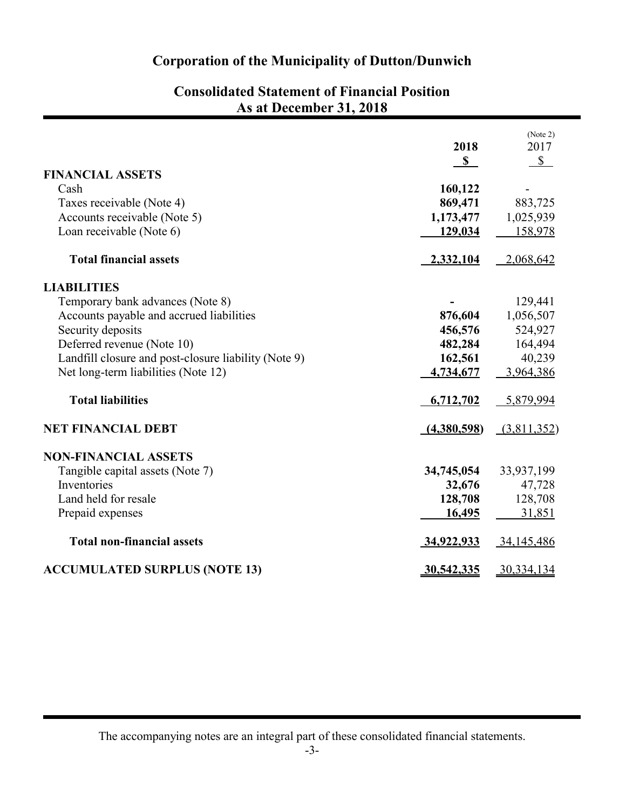| <b>Consolidated Statement of Financial Position</b> |
|-----------------------------------------------------|
| As at December 31, 2018                             |

| <b>FINANCIAL ASSETS</b>                              | 2018<br>$\mathbb{S}$ | (Note 2)<br>2017<br>$\mathbb{S}$ |
|------------------------------------------------------|----------------------|----------------------------------|
| Cash                                                 | 160,122              |                                  |
| Taxes receivable (Note 4)                            | 869,471              | 883,725                          |
| Accounts receivable (Note 5)                         | 1,173,477            | 1,025,939                        |
| Loan receivable (Note 6)                             | 129,034              | 158,978                          |
| <b>Total financial assets</b>                        | 2,332,104            | 2,068,642                        |
| <b>LIABILITIES</b>                                   |                      |                                  |
| Temporary bank advances (Note 8)                     |                      | 129,441                          |
| Accounts payable and accrued liabilities             | 876,604              | 1,056,507                        |
| Security deposits                                    | 456,576              | 524,927                          |
| Deferred revenue (Note 10)                           | 482,284              | 164,494                          |
| Landfill closure and post-closure liability (Note 9) | 162,561              | 40,239                           |
| Net long-term liabilities (Note 12)                  | 4,734,677            | 3,964,386                        |
| <b>Total liabilities</b>                             | 6,712,702            | 5,879,994                        |
| <b>NET FINANCIAL DEBT</b>                            | (4,380,598)          | (3,811,352)                      |
| <b>NON-FINANCIAL ASSETS</b>                          |                      |                                  |
| Tangible capital assets (Note 7)                     | 34,745,054           | 33,937,199                       |
| Inventories                                          | 32,676               | 47,728                           |
| Land held for resale                                 | 128,708              | 128,708                          |
| Prepaid expenses                                     | 16,495               | 31,851                           |
| <b>Total non-financial assets</b>                    | 34,922,933           | 34,145,486                       |
| <b>ACCUMULATED SURPLUS (NOTE 13)</b>                 | <u>30,542,335</u>    | 30,334,134                       |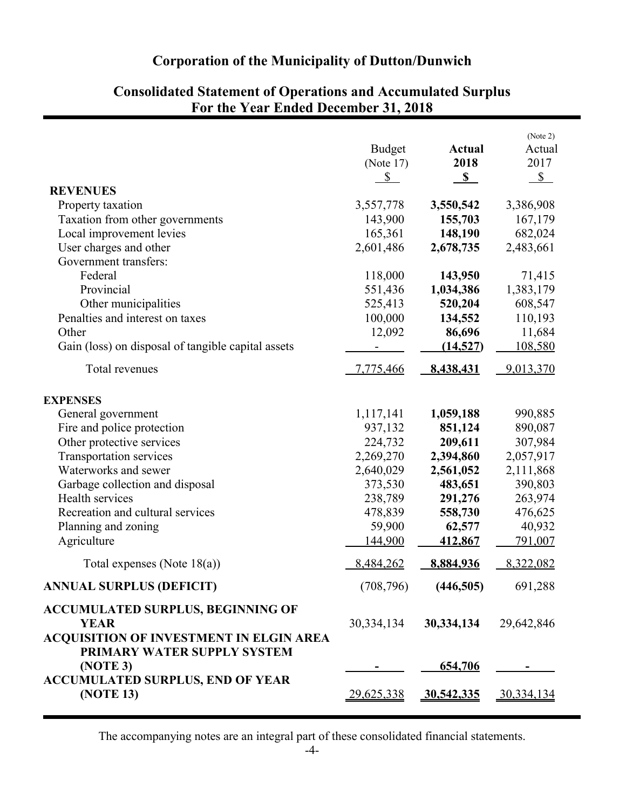|                                                                                                           | <b>Budget</b><br>(Note $17$ )<br>$\mathcal{S}$ | <b>Actual</b><br>2018<br>$\mathbf{s}$ | (Note 2)<br>Actual<br>2017<br>$\mathcal{S}$ |
|-----------------------------------------------------------------------------------------------------------|------------------------------------------------|---------------------------------------|---------------------------------------------|
| <b>REVENUES</b>                                                                                           |                                                |                                       |                                             |
| Property taxation                                                                                         | 3,557,778                                      | 3,550,542                             | 3,386,908                                   |
| Taxation from other governments                                                                           | 143,900                                        | 155,703                               | 167,179                                     |
| Local improvement levies                                                                                  | 165,361                                        | 148,190                               | 682,024                                     |
| User charges and other                                                                                    | 2,601,486                                      | 2,678,735                             | 2,483,661                                   |
| Government transfers:                                                                                     |                                                |                                       |                                             |
| Federal                                                                                                   | 118,000                                        | 143,950                               | 71,415                                      |
| Provincial                                                                                                | 551,436                                        | 1,034,386                             | 1,383,179                                   |
| Other municipalities                                                                                      | 525,413                                        | 520,204                               | 608,547                                     |
| Penalties and interest on taxes                                                                           | 100,000                                        | 134,552                               | 110,193                                     |
| Other                                                                                                     | 12,092                                         | 86,696                                | 11,684                                      |
| Gain (loss) on disposal of tangible capital assets                                                        |                                                | (14, 527)                             | 108,580                                     |
| Total revenues                                                                                            | 7,775,466                                      | 8,438,431                             | 9,013,370                                   |
| <b>EXPENSES</b>                                                                                           |                                                |                                       |                                             |
| General government                                                                                        | 1,117,141                                      | 1,059,188                             | 990,885                                     |
| Fire and police protection                                                                                | 937,132                                        | 851,124                               | 890,087                                     |
| Other protective services                                                                                 | 224,732                                        | 209,611                               | 307,984                                     |
| Transportation services                                                                                   | 2,269,270                                      | 2,394,860                             | 2,057,917                                   |
| Waterworks and sewer                                                                                      | 2,640,029                                      | 2,561,052                             | 2,111,868                                   |
| Garbage collection and disposal                                                                           | 373,530                                        | 483,651                               | 390,803                                     |
| Health services                                                                                           | 238,789                                        | 291,276                               | 263,974                                     |
| Recreation and cultural services                                                                          | 478,839                                        | 558,730                               | 476,625                                     |
| Planning and zoning                                                                                       | 59,900                                         | 62,577                                | 40,932                                      |
| Agriculture                                                                                               | 144,900                                        | 412,867                               | 791,007                                     |
| Total expenses (Note $18(a)$ )                                                                            | 8,484,262                                      | 8,884,936                             | 8,322,082                                   |
| <b>ANNUAL SURPLUS (DEFICIT)</b>                                                                           | (708, 796)                                     | (446,505)                             | 691,288                                     |
| <b>ACCUMULATED SURPLUS, BEGINNING OF</b><br><b>YEAR</b><br><b>ACQUISITION OF INVESTMENT IN ELGIN AREA</b> | 30, 334, 134                                   | 30,334,134                            | 29,642,846                                  |
| PRIMARY WATER SUPPLY SYSTEM<br>(NOTE 3)<br><b>ACCUMULATED SURPLUS, END OF YEAR</b>                        |                                                | 654,706                               |                                             |
| (NOTE 13)                                                                                                 | 29,625,338                                     | 30,542,335                            | 30,334,134                                  |

# **Consolidated Statement of Operations and Accumulated Surplus For the Year Ended December 31, 2018**

The accompanying notes are an integral part of these consolidated financial statements.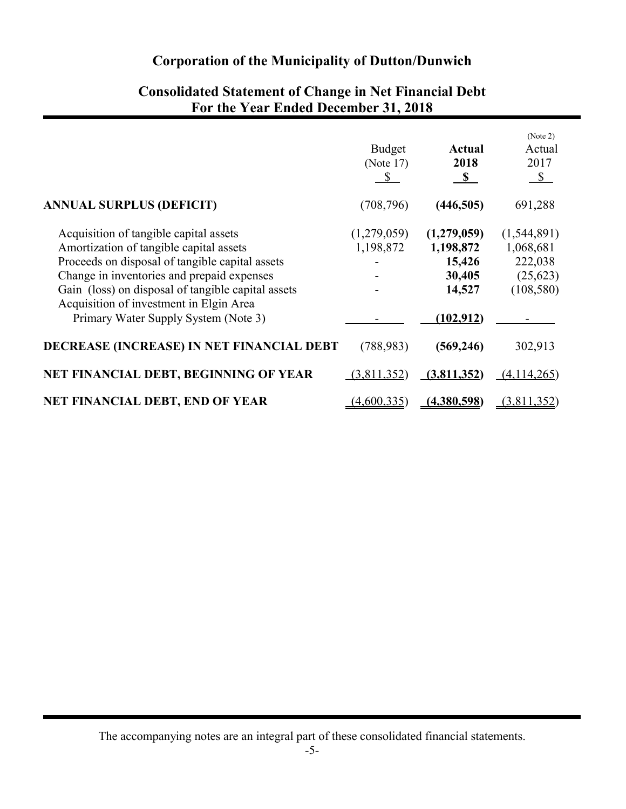|                                                    | <b>Budget</b><br>(Note $17$ )<br>$\boldsymbol{\mathsf{S}}$ | <b>Actual</b><br>2018<br>$\mathbf{s}$ | (Note 2)<br>Actual<br>2017<br>$\mathcal{S}$ |
|----------------------------------------------------|------------------------------------------------------------|---------------------------------------|---------------------------------------------|
| <b>ANNUAL SURPLUS (DEFICIT)</b>                    | (708, 796)                                                 | (446, 505)                            | 691,288                                     |
| Acquisition of tangible capital assets             | (1,279,059)                                                | (1,279,059)                           | (1,544,891)                                 |
| Amortization of tangible capital assets            | 1,198,872                                                  | 1,198,872                             | 1,068,681                                   |
| Proceeds on disposal of tangible capital assets    |                                                            | 15,426                                | 222,038                                     |
| Change in inventories and prepaid expenses         |                                                            | 30,405                                | (25, 623)                                   |
| Gain (loss) on disposal of tangible capital assets |                                                            | 14,527                                | (108, 580)                                  |
| Acquisition of investment in Elgin Area            |                                                            |                                       |                                             |
| Primary Water Supply System (Note 3)               |                                                            | (102, 912)                            |                                             |
| DECREASE (INCREASE) IN NET FINANCIAL DEBT          | (788, 983)                                                 | (569, 246)                            | 302,913                                     |
| NET FINANCIAL DEBT, BEGINNING OF YEAR              | (3,811,352)                                                | (3,811,352)                           | (4,114,265)                                 |
| <b>NET FINANCIAL DEBT, END OF YEAR</b>             | (4,600,335)                                                | (4,380,598)                           | (3,811,352)                                 |

## **Consolidated Statement of Change in Net Financial Debt For the Year Ended December 31, 2018**

The accompanying notes are an integral part of these consolidated financial statements.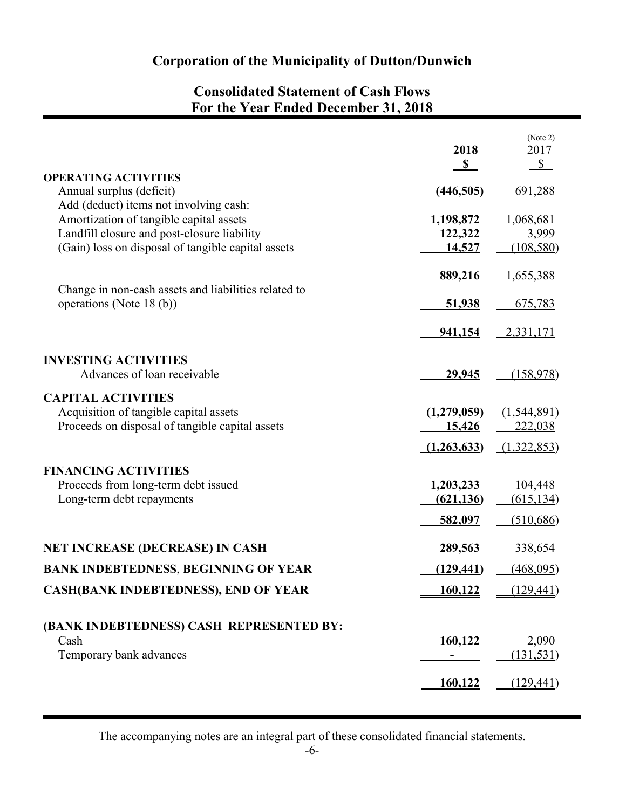# **Consolidated Statement of Cash Flows For the Year Ended December 31, 2018**

| <b>OPERATING ACTIVITIES</b>                                                                                                                                                            | 2018<br>S                          | (Note 2)<br>2017<br>$\mathcal{S}$   |
|----------------------------------------------------------------------------------------------------------------------------------------------------------------------------------------|------------------------------------|-------------------------------------|
| Annual surplus (deficit)                                                                                                                                                               | (446,505)                          | 691,288                             |
| Add (deduct) items not involving cash:<br>Amortization of tangible capital assets<br>Landfill closure and post-closure liability<br>(Gain) loss on disposal of tangible capital assets | 1,198,872<br>122,322<br>14,527     | 1,068,681<br>3,999<br>(108, 580)    |
|                                                                                                                                                                                        | 889,216                            | 1,655,388                           |
| Change in non-cash assets and liabilities related to<br>operations (Note 18 (b))                                                                                                       | <u>51,938</u>                      | 675,783                             |
|                                                                                                                                                                                        | 941,154                            | 2,331,171                           |
| <b>INVESTING ACTIVITIES</b>                                                                                                                                                            |                                    |                                     |
| Advances of loan receivable                                                                                                                                                            | 29,945                             | (158,978)                           |
| <b>CAPITAL ACTIVITIES</b><br>Acquisition of tangible capital assets<br>Proceeds on disposal of tangible capital assets                                                                 | (1,279,059)<br>15,426              | (1,544,891)<br>222,038              |
|                                                                                                                                                                                        | (1,263,633)                        | (1,322,853)                         |
| <b>FINANCING ACTIVITIES</b><br>Proceeds from long-term debt issued<br>Long-term debt repayments                                                                                        | 1,203,233<br>(621, 136)<br>582,097 | 104,448<br>(615, 134)<br>(510, 686) |
| <b>NET INCREASE (DECREASE) IN CASH</b>                                                                                                                                                 | 289,563                            | 338,654                             |
| <b>BANK INDEBTEDNESS, BEGINNING OF YEAR</b>                                                                                                                                            | (129, 441)                         | (468,095)                           |
| <b>CASH(BANK INDEBTEDNESS), END OF YEAR</b>                                                                                                                                            | 160,122                            | (129, 441)                          |
| (BANK INDEBTEDNESS) CASH REPRESENTED BY:<br>Cash<br>Temporary bank advances                                                                                                            | 160,122                            | 2,090<br>(131, 531)                 |
|                                                                                                                                                                                        | <u>160,122</u>                     | (129, 441)                          |
|                                                                                                                                                                                        |                                    |                                     |

The accompanying notes are an integral part of these consolidated financial statements.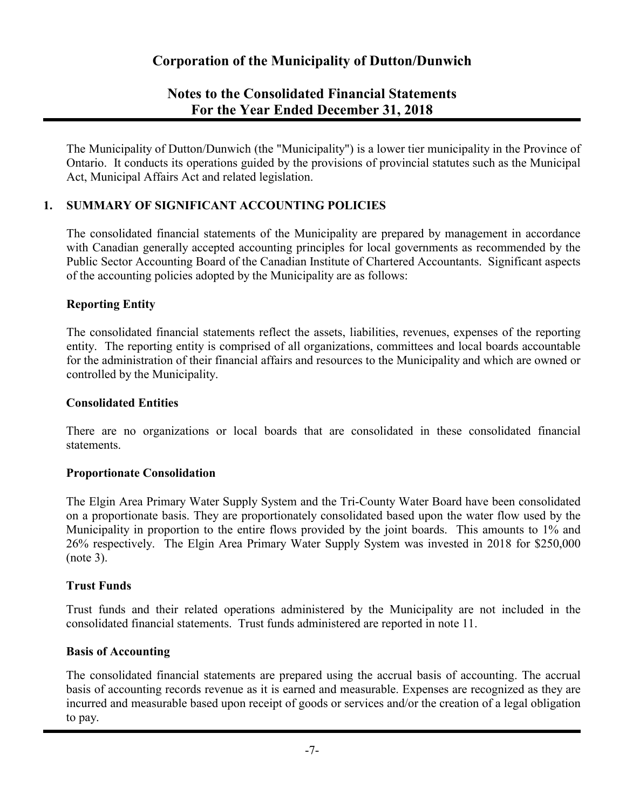## **Notes to the Consolidated Financial Statements For the Year Ended December 31, 2018**

The Municipality of Dutton/Dunwich (the "Municipality") is a lower tier municipality in the Province of Ontario. It conducts its operations guided by the provisions of provincial statutes such as the Municipal Act, Municipal Affairs Act and related legislation.

## **1. SUMMARY OF SIGNIFICANT ACCOUNTING POLICIES**

The consolidated financial statements of the Municipality are prepared by management in accordance with Canadian generally accepted accounting principles for local governments as recommended by the Public Sector Accounting Board of the Canadian Institute of Chartered Accountants. Significant aspects of the accounting policies adopted by the Municipality are as follows:

### **Reporting Entity**

The consolidated financial statements reflect the assets, liabilities, revenues, expenses of the reporting entity. The reporting entity is comprised of all organizations, committees and local boards accountable for the administration of their financial affairs and resources to the Municipality and which are owned or controlled by the Municipality.

### **Consolidated Entities**

There are no organizations or local boards that are consolidated in these consolidated financial statements.

#### **Proportionate Consolidation**

The Elgin Area Primary Water Supply System and the Tri-County Water Board have been consolidated on a proportionate basis. They are proportionately consolidated based upon the water flow used by the Municipality in proportion to the entire flows provided by the joint boards. This amounts to 1% and 26% respectively. The Elgin Area Primary Water Supply System was invested in 2018 for \$250,000 (note 3).

#### **Trust Funds**

Trust funds and their related operations administered by the Municipality are not included in the consolidated financial statements. Trust funds administered are reported in note 11.

#### **Basis of Accounting**

The consolidated financial statements are prepared using the accrual basis of accounting. The accrual basis of accounting records revenue as it is earned and measurable. Expenses are recognized as they are incurred and measurable based upon receipt of goods or services and/or the creation of a legal obligation to pay.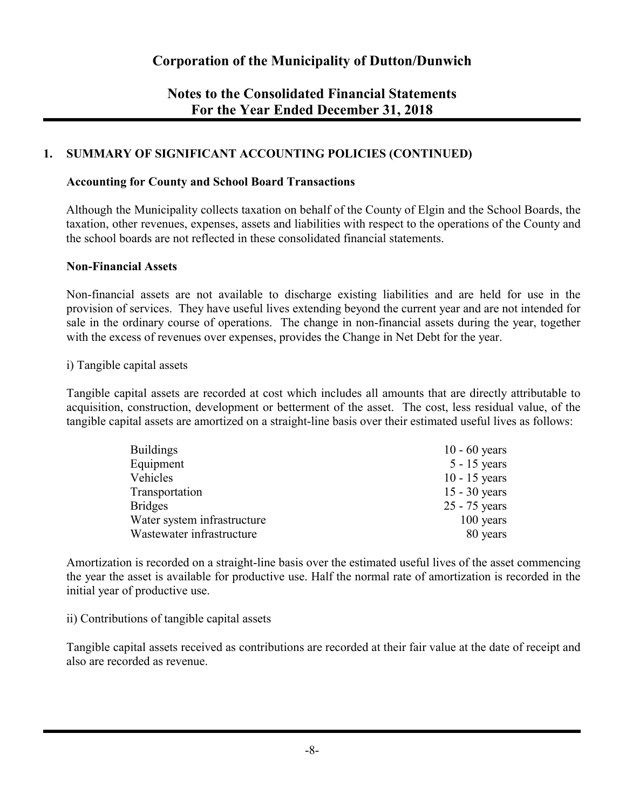## **Notes to the Consolidated Financial Statements For the Year Ended December 31, 2018**

## **1. SUMMARY OF SIGNIFICANT ACCOUNTING POLICIES (CONTINUED)**

#### **Accounting for County and School Board Transactions**

Although the Municipality collects taxation on behalf of the County of Elgin and the School Boards, the taxation, other revenues, expenses, assets and liabilities with respect to the operations of the County and the school boards are not reflected in these consolidated financial statements.

#### **Non-Financial Assets**

Non-financial assets are not available to discharge existing liabilities and are held for use in the provision of services. They have useful lives extending beyond the current year and are not intended for sale in the ordinary course of operations. The change in non-financial assets during the year, together with the excess of revenues over expenses, provides the Change in Net Debt for the year.

#### i) Tangible capital assets

Tangible capital assets are recorded at cost which includes all amounts that are directly attributable to acquisition, construction, development or betterment of the asset. The cost, less residual value, of the tangible capital assets are amortized on a straight-line basis over their estimated useful lives as follows:

| <b>Buildings</b>            | 10 - 60 years   |
|-----------------------------|-----------------|
| Equipment                   | $5 - 15$ years  |
| Vehicles                    | $10 - 15$ years |
| Transportation              | $15 - 30$ years |
| <b>Bridges</b>              | $25 - 75$ years |
| Water system infrastructure | $100$ years     |
| Wastewater infrastructure   | 80 years        |

Amortization is recorded on a straight-line basis over the estimated useful lives of the asset commencing the year the asset is available for productive use. Half the normal rate of amortization is recorded in the initial year of productive use.

#### ii) Contributions of tangible capital assets

Tangible capital assets received as contributions are recorded at their fair value at the date of receipt and also are recorded as revenue.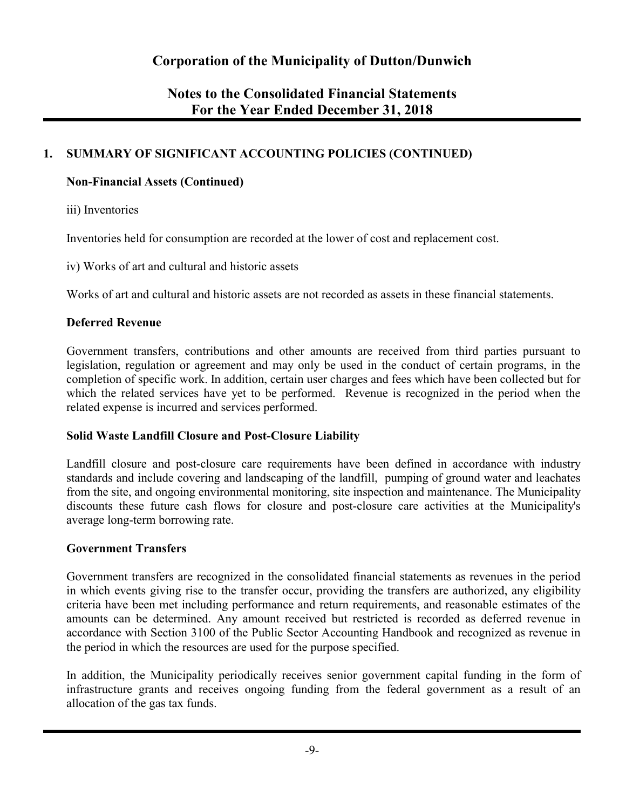## **Notes to the Consolidated Financial Statements For the Year Ended December 31, 2018**

## **1. SUMMARY OF SIGNIFICANT ACCOUNTING POLICIES (CONTINUED)**

## **Non-Financial Assets (Continued)**

iii) Inventories

Inventories held for consumption are recorded at the lower of cost and replacement cost.

iv) Works of art and cultural and historic assets

Works of art and cultural and historic assets are not recorded as assets in these financial statements.

## **Deferred Revenue**

Government transfers, contributions and other amounts are received from third parties pursuant to legislation, regulation or agreement and may only be used in the conduct of certain programs, in the completion of specific work. In addition, certain user charges and fees which have been collected but for which the related services have yet to be performed. Revenue is recognized in the period when the related expense is incurred and services performed.

#### **Solid Waste Landfill Closure and Post-Closure Liability**

Landfill closure and post-closure care requirements have been defined in accordance with industry standards and include covering and landscaping of the landfill, pumping of ground water and leachates from the site, and ongoing environmental monitoring, site inspection and maintenance. The Municipality discounts these future cash flows for closure and post-closure care activities at the Municipality's average long-term borrowing rate.

#### **Government Transfers**

Government transfers are recognized in the consolidated financial statements as revenues in the period in which events giving rise to the transfer occur, providing the transfers are authorized, any eligibility criteria have been met including performance and return requirements, and reasonable estimates of the amounts can be determined. Any amount received but restricted is recorded as deferred revenue in accordance with Section 3100 of the Public Sector Accounting Handbook and recognized as revenue in the period in which the resources are used for the purpose specified.

In addition, the Municipality periodically receives senior government capital funding in the form of infrastructure grants and receives ongoing funding from the federal government as a result of an allocation of the gas tax funds.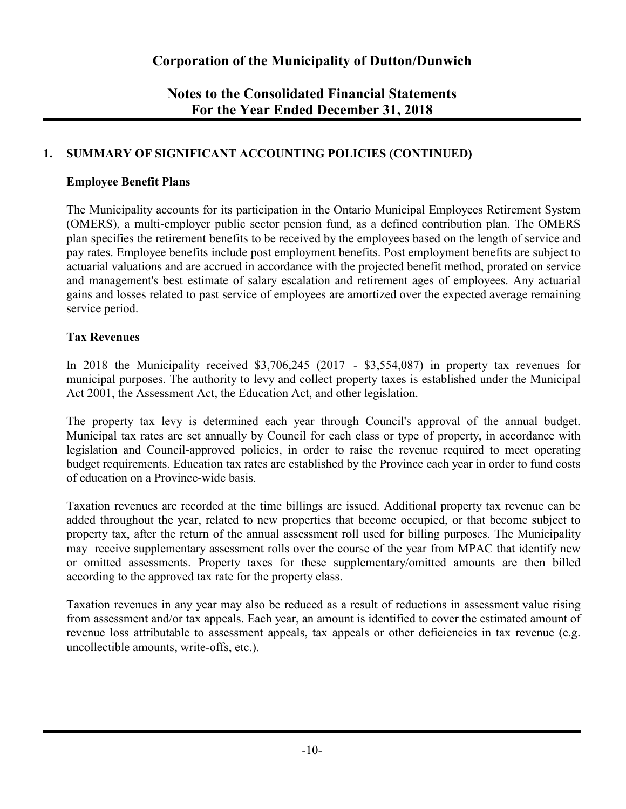## **Notes to the Consolidated Financial Statements For the Year Ended December 31, 2018**

## **1. SUMMARY OF SIGNIFICANT ACCOUNTING POLICIES (CONTINUED)**

### **Employee Benefit Plans**

The Municipality accounts for its participation in the Ontario Municipal Employees Retirement System (OMERS), a multi-employer public sector pension fund, as a defined contribution plan. The OMERS plan specifies the retirement benefits to be received by the employees based on the length of service and pay rates. Employee benefits include post employment benefits. Post employment benefits are subject to actuarial valuations and are accrued in accordance with the projected benefit method, prorated on service and management's best estimate of salary escalation and retirement ages of employees. Any actuarial gains and losses related to past service of employees are amortized over the expected average remaining service period.

## **Tax Revenues**

In 2018 the Municipality received \$3,706,245 (2017 - \$3,554,087) in property tax revenues for municipal purposes. The authority to levy and collect property taxes is established under the Municipal Act 2001, the Assessment Act, the Education Act, and other legislation.

The property tax levy is determined each year through Council's approval of the annual budget. Municipal tax rates are set annually by Council for each class or type of property, in accordance with legislation and Council-approved policies, in order to raise the revenue required to meet operating budget requirements. Education tax rates are established by the Province each year in order to fund costs of education on a Province-wide basis.

Taxation revenues are recorded at the time billings are issued. Additional property tax revenue can be added throughout the year, related to new properties that become occupied, or that become subject to property tax, after the return of the annual assessment roll used for billing purposes. The Municipality may receive supplementary assessment rolls over the course of the year from MPAC that identify new or omitted assessments. Property taxes for these supplementary/omitted amounts are then billed according to the approved tax rate for the property class.

Taxation revenues in any year may also be reduced as a result of reductions in assessment value rising from assessment and/or tax appeals. Each year, an amount is identified to cover the estimated amount of revenue loss attributable to assessment appeals, tax appeals or other deficiencies in tax revenue (e.g. uncollectible amounts, write-offs, etc.).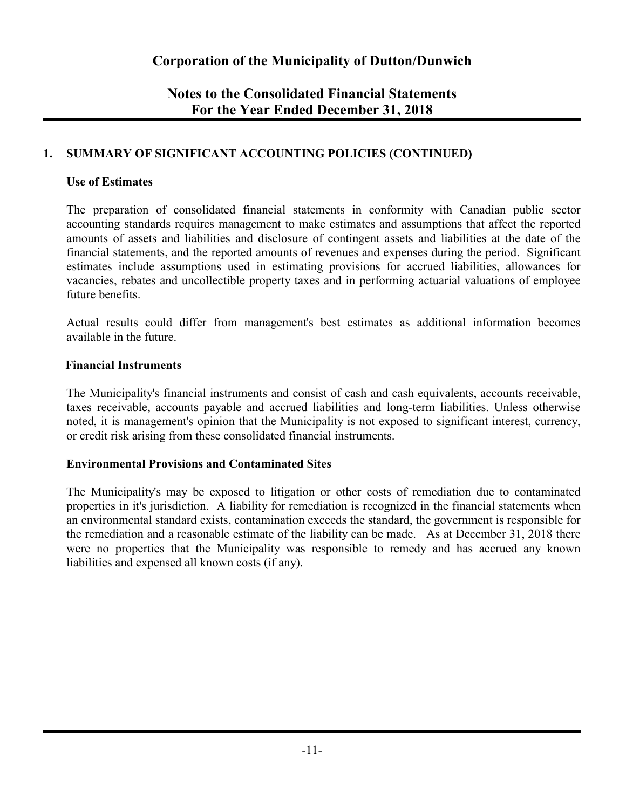## **Notes to the Consolidated Financial Statements For the Year Ended December 31, 2018**

## **1. SUMMARY OF SIGNIFICANT ACCOUNTING POLICIES (CONTINUED)**

## **Use of Estimates**

The preparation of consolidated financial statements in conformity with Canadian public sector accounting standards requires management to make estimates and assumptions that affect the reported amounts of assets and liabilities and disclosure of contingent assets and liabilities at the date of the financial statements, and the reported amounts of revenues and expenses during the period. Significant estimates include assumptions used in estimating provisions for accrued liabilities, allowances for vacancies, rebates and uncollectible property taxes and in performing actuarial valuations of employee future benefits.

Actual results could differ from management's best estimates as additional information becomes available in the future.

### **Financial Instruments**

The Municipality's financial instruments and consist of cash and cash equivalents, accounts receivable, taxes receivable, accounts payable and accrued liabilities and long-term liabilities. Unless otherwise noted, it is management's opinion that the Municipality is not exposed to significant interest, currency, or credit risk arising from these consolidated financial instruments.

## **Environmental Provisions and Contaminated Sites**

The Municipality's may be exposed to litigation or other costs of remediation due to contaminated properties in it's jurisdiction. A liability for remediation is recognized in the financial statements when an environmental standard exists, contamination exceeds the standard, the government is responsible for the remediation and a reasonable estimate of the liability can be made. As at December 31, 2018 there were no properties that the Municipality was responsible to remedy and has accrued any known liabilities and expensed all known costs (if any).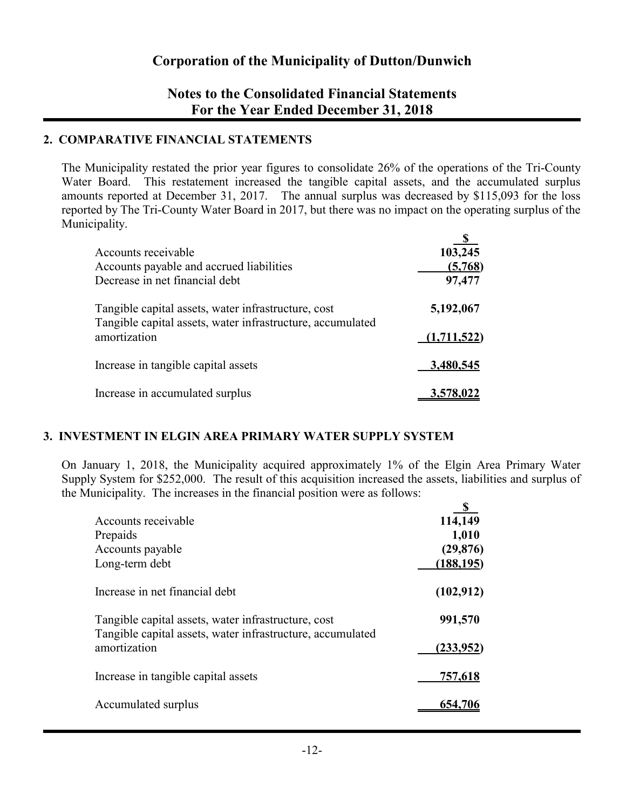## **Notes to the Consolidated Financial Statements For the Year Ended December 31, 2018**

## **2. COMPARATIVE FINANCIAL STATEMENTS**

The Municipality restated the prior year figures to consolidate 26% of the operations of the Tri-County Water Board. This restatement increased the tangible capital assets, and the accumulated surplus amounts reported at December 31, 2017. The annual surplus was decreased by \$115,093 for the loss reported by The Tri-County Water Board in 2017, but there was no impact on the operating surplus of the Municipality.  $\mathbf{C}$ 

| Accounts receivable                                                                                               | 103,245     |
|-------------------------------------------------------------------------------------------------------------------|-------------|
| Accounts payable and accrued liabilities                                                                          | (5,768)     |
| Decrease in net financial debt                                                                                    | 97,477      |
| Tangible capital assets, water infrastructure, cost<br>Tangible capital assets, water infrastructure, accumulated | 5,192,067   |
| amortization                                                                                                      | (1,711,522) |
| Increase in tangible capital assets                                                                               | 3,480,545   |
| Increase in accumulated surplus                                                                                   | 3,578,022   |

## **3. INVESTMENT IN ELGIN AREA PRIMARY WATER SUPPLY SYSTEM**

On January 1, 2018, the Municipality acquired approximately 1% of the Elgin Area Primary Water Supply System for \$252,000. The result of this acquisition increased the assets, liabilities and surplus of the Municipality. The increases in the financial position were as follows:

| Accounts receivable                                                                                               | 114,149    |
|-------------------------------------------------------------------------------------------------------------------|------------|
| Prepaids                                                                                                          | 1,010      |
| Accounts payable                                                                                                  | (29, 876)  |
| Long-term debt                                                                                                    | (188, 195) |
| Increase in net financial debt                                                                                    | (102, 912) |
| Tangible capital assets, water infrastructure, cost<br>Tangible capital assets, water infrastructure, accumulated | 991,570    |
| amortization                                                                                                      | (233,952)  |
| Increase in tangible capital assets                                                                               | 757,618    |
| Accumulated surplus                                                                                               | 654,706    |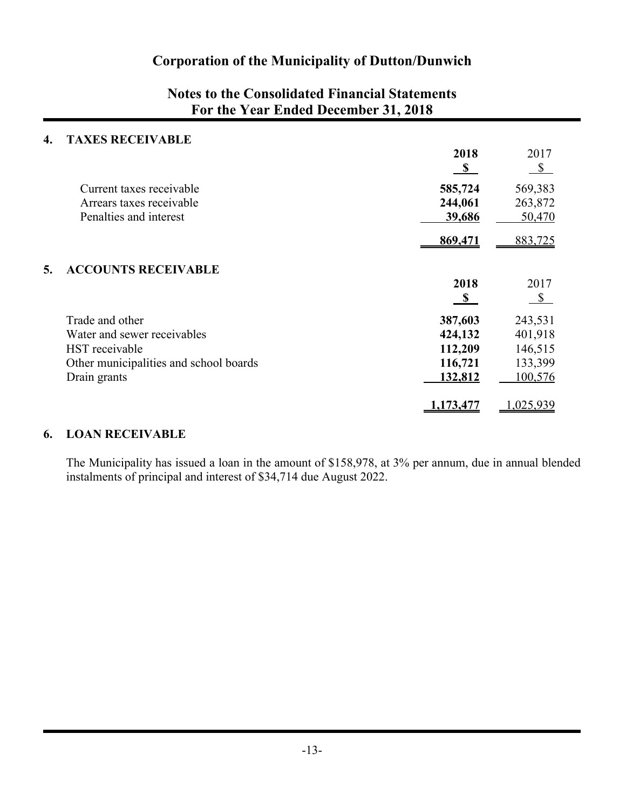# **Notes to the Consolidated Financial Statements For the Year Ended December 31, 2018**

### **4. TAXES RECEIVABLE**

|    |                                                    | 2018<br>$\mathbf{s}$ | 2017<br>$\mathbb{S}$ |
|----|----------------------------------------------------|----------------------|----------------------|
|    | Current taxes receivable                           | 585,724              | 569,383              |
|    | Arrears taxes receivable<br>Penalties and interest | 244,061<br>39,686    | 263,872<br>50,470    |
|    |                                                    |                      |                      |
|    |                                                    | 869,471              | 883,725              |
| 5. | <b>ACCOUNTS RECEIVABLE</b>                         |                      |                      |
|    |                                                    | 2018                 | 2017                 |
|    |                                                    | $\mathbf{s}$         | $\mathbb{S}$         |
|    | Trade and other                                    | 387,603              | 243,531              |
|    | Water and sewer receivables                        | 424,132              | 401,918              |
|    | HST receivable                                     | 112,209              | 146,515              |
|    | Other municipalities and school boards             | 116,721              | 133,399              |
|    | Drain grants                                       | 132,812              | 100,576              |
|    |                                                    | 1,173,477            | ,025,939             |

## **6. LOAN RECEIVABLE**

The Municipality has issued a loan in the amount of \$158,978, at 3% per annum, due in annual blended instalments of principal and interest of \$34,714 due August 2022.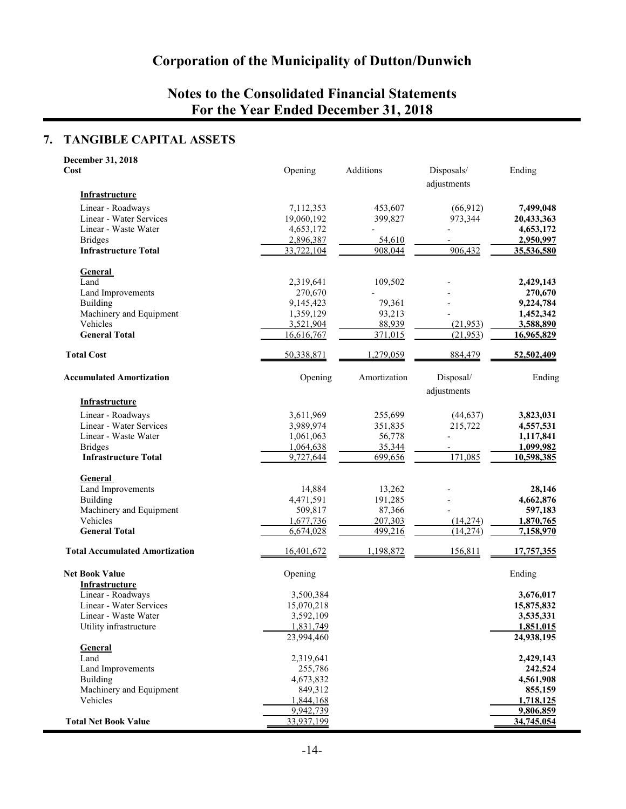# **Notes to the Consolidated Financial Statements For the Year Ended December 31, 2018**

## **7. TANGIBLE CAPITAL ASSETS**

| December 31, 2018                     |                         |              |                           |                         |
|---------------------------------------|-------------------------|--------------|---------------------------|-------------------------|
| <b>Cost</b>                           | Opening                 | Additions    | Disposals/<br>adjustments | Ending                  |
| Infrastructure                        |                         |              |                           |                         |
| Linear - Roadways                     | 7,112,353               | 453,607      | (66, 912)                 | 7,499,048               |
| Linear - Water Services               | 19,060,192              | 399,827      | 973,344                   | 20,433,363              |
| Linear - Waste Water                  | 4,653,172               |              |                           | 4,653,172               |
| <b>Bridges</b>                        | 2,896,387               | 54,610       |                           | 2,950,997               |
| <b>Infrastructure Total</b>           | 33,722,104              | 908,044      | 906,432                   | <u>35,536,580</u>       |
| <b>General</b>                        |                         |              |                           |                         |
| Land                                  | 2,319,641               | 109,502      |                           | 2,429,143               |
| Land Improvements                     | 270,670                 |              |                           | 270,670                 |
| <b>Building</b>                       | 9,145,423               | 79,361       |                           | 9,224,784               |
| Machinery and Equipment               | 1,359,129               | 93,213       |                           | 1,452,342               |
| Vehicles                              | 3,521,904               | 88,939       | (21, 953)                 | 3,588,890               |
| <b>General Total</b>                  | 16,616,767              | 371,015      | (21, 953)                 | 16,965,829              |
| <b>Total Cost</b>                     | 50,338,871              | 1,279,059    | 884,479                   | 52,502,409              |
| <b>Accumulated Amortization</b>       | Opening                 | Amortization | Disposal/                 | Ending                  |
|                                       |                         |              | adjustments               |                         |
| <b>Infrastructure</b>                 |                         |              |                           |                         |
| Linear - Roadways                     | 3,611,969               | 255,699      | (44, 637)                 | 3,823,031               |
| Linear - Water Services               | 3,989,974               | 351,835      | 215,722                   | 4,557,531               |
| Linear - Waste Water                  | 1,061,063               | 56,778       |                           | 1,117,841               |
| <b>Bridges</b>                        | 1,064,638               | 35,344       |                           | 1,099,982               |
| <b>Infrastructure Total</b>           | 9,727,644               | 699,656      | 171,085                   | 10,598,385              |
| <b>General</b>                        |                         |              |                           |                         |
| Land Improvements                     | 14,884                  | 13,262       |                           | 28,146                  |
| Building                              | 4,471,591               | 191,285      |                           | 4,662,876               |
| Machinery and Equipment               | 509,817                 | 87,366       |                           | 597,183                 |
| Vehicles                              | 1,677,736               | 207,303      | (14,274)                  | 1,870,765               |
| <b>General Total</b>                  | 6,674,028               | 499,216      | (14, 274)                 | 7,158,970               |
| <b>Total Accumulated Amortization</b> | 16,401,672              | 1,198,872    | 156,811                   | <u>17,757,355</u>       |
| <b>Net Book Value</b>                 | Opening                 |              |                           | Ending                  |
| Infrastructure                        |                         |              |                           |                         |
| Linear - Roadways                     | 3,500,384               |              |                           | 3,676,017               |
| Linear - Water Services               | 15,070,218              |              |                           | 15,875,832              |
| Linear - Waste Water                  | 3,592,109               |              |                           | 3,535,331               |
| Utility infrastructure                | 1,831,749<br>23,994,460 |              |                           | 1,851,015<br>24,938,195 |
| <b>General</b>                        |                         |              |                           |                         |
| Land                                  | 2,319,641               |              |                           | 2,429,143               |
| Land Improvements                     | 255,786                 |              |                           | 242,524                 |
| Building                              | 4,673,832               |              |                           | 4,561,908               |
| Machinery and Equipment               | 849,312                 |              |                           | 855,159                 |
| Vehicles                              | 1,844,168               |              |                           | 1,718,125               |
|                                       | 9,942,739               |              |                           | 9,806,859               |
| <b>Total Net Book Value</b>           | 33,937,199              |              |                           | 34,745,054              |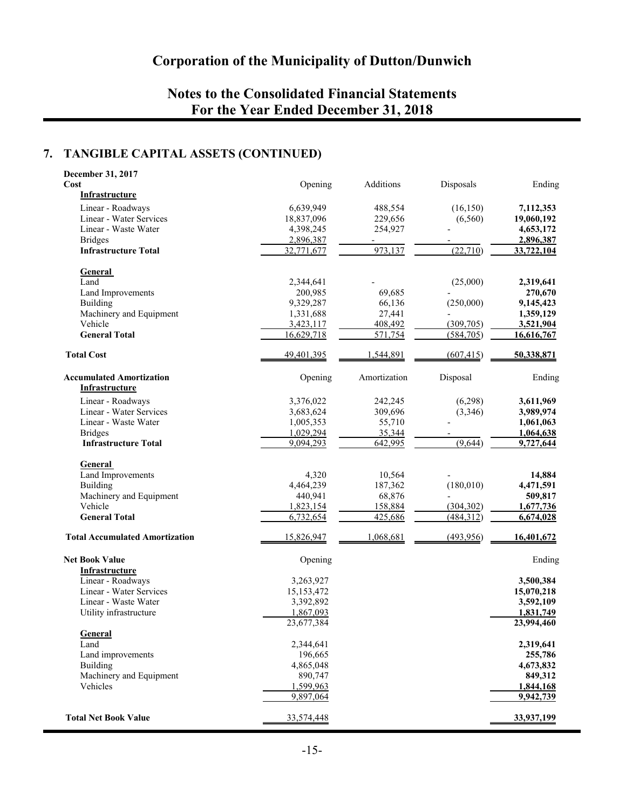# **Notes to the Consolidated Financial Statements For the Year Ended December 31, 2018**

## **7. TANGIBLE CAPITAL ASSETS (CONTINUED)**

| Additions<br>Cost<br>Opening<br>Disposals<br>Infrastructure<br>Linear - Roadways<br>6,639,949<br>488,554<br>(16, 150)<br>7,112,353<br>Linear - Water Services<br>18,837,096<br>229,656<br>(6,560)<br>19,060,192<br>Linear - Waste Water<br>4,398,245<br>254,927<br>4,653,172<br><b>Bridges</b><br>2,896,387<br>2,896,387<br><b>Infrastructure Total</b><br>973,137<br>(22, 710)<br>32,771,677<br>33,722,104<br><b>General</b><br>Land<br>2,344,641<br>(25,000)<br>2,319,641<br>200,985<br>69,685<br>Land Improvements<br>270,670<br>(250,000)<br>Building<br>9,329,287<br>66,136<br>9,145,423<br>Machinery and Equipment<br>1,331,688<br>27,441<br>1,359,129<br>Vehicle<br>3,423,117<br>408,492<br>(309, 705)<br>3,521,904<br>571,754<br><b>General Total</b><br>16,629,718<br>(584, 705)<br>16,616,767<br><b>Total Cost</b><br>49,401,395<br>1,544,891<br>50,338,871<br>(607, 415)<br><b>Accumulated Amortization</b><br>Opening<br>Amortization<br>Disposal<br>Ending<br><b>Infrastructure</b><br>Linear - Roadways<br>3,376,022<br>242,245<br>(6,298)<br>3,611,969<br>Linear - Water Services<br>3,683,624<br>309,696<br>(3,346)<br>3,989,974<br>Linear - Waste Water<br>1,005,353<br>55,710<br>1,061,063<br><b>Bridges</b><br>1,029,294<br>35,344<br>1,064,638<br>(9,644)<br><b>Infrastructure Total</b><br>9,094,293<br>642,995<br>9,727,644<br>General<br>Land Improvements<br>4,320<br>10,564<br>14,884<br>(180, 010)<br><b>Building</b><br>4,464,239<br>187,362<br>4,471,591<br>Machinery and Equipment<br>440,941<br>68,876<br>509,817<br>Vehicle<br>1,823,154<br>158,884<br>(304, 302)<br>1,677,736<br><b>General Total</b><br>6,732,654<br>425,686<br>(484, 312)<br>6,674,028<br><b>Total Accumulated Amortization</b><br>15,826,947<br>1,068,681<br>(493,956)<br>16,401,672<br><b>Net Book Value</b><br>Opening<br>Ending<br>Infrastructure<br>Linear - Roadways<br>3,263,927<br>3,500,384<br>Linear - Water Services<br>15,153,472<br>15,070,218<br>Linear - Waste Water<br>3,392,892<br>3,592,109<br>Utility infrastructure<br>1,867,093<br>1,831,749<br>23,994,460<br>23,677,384<br>General<br>Land<br>2,344,641<br>2,319,641<br>Land improvements<br>196,665<br>255,786<br>Building<br>4,865,048<br>4,673,832<br>Machinery and Equipment<br>890,747<br>849,312<br>Vehicles<br>1,599,963<br>1,844,168<br>9,897,064<br>9,942,739<br><b>Total Net Book Value</b><br>33,574,448<br>33,937,199 | December 31, 2017 |  |        |
|-----------------------------------------------------------------------------------------------------------------------------------------------------------------------------------------------------------------------------------------------------------------------------------------------------------------------------------------------------------------------------------------------------------------------------------------------------------------------------------------------------------------------------------------------------------------------------------------------------------------------------------------------------------------------------------------------------------------------------------------------------------------------------------------------------------------------------------------------------------------------------------------------------------------------------------------------------------------------------------------------------------------------------------------------------------------------------------------------------------------------------------------------------------------------------------------------------------------------------------------------------------------------------------------------------------------------------------------------------------------------------------------------------------------------------------------------------------------------------------------------------------------------------------------------------------------------------------------------------------------------------------------------------------------------------------------------------------------------------------------------------------------------------------------------------------------------------------------------------------------------------------------------------------------------------------------------------------------------------------------------------------------------------------------------------------------------------------------------------------------------------------------------------------------------------------------------------------------------------------------------------------------------------------------------------------------------------------------------------------------------------------------------------------|-------------------|--|--------|
|                                                                                                                                                                                                                                                                                                                                                                                                                                                                                                                                                                                                                                                                                                                                                                                                                                                                                                                                                                                                                                                                                                                                                                                                                                                                                                                                                                                                                                                                                                                                                                                                                                                                                                                                                                                                                                                                                                                                                                                                                                                                                                                                                                                                                                                                                                                                                                                                           |                   |  | Ending |
|                                                                                                                                                                                                                                                                                                                                                                                                                                                                                                                                                                                                                                                                                                                                                                                                                                                                                                                                                                                                                                                                                                                                                                                                                                                                                                                                                                                                                                                                                                                                                                                                                                                                                                                                                                                                                                                                                                                                                                                                                                                                                                                                                                                                                                                                                                                                                                                                           |                   |  |        |
|                                                                                                                                                                                                                                                                                                                                                                                                                                                                                                                                                                                                                                                                                                                                                                                                                                                                                                                                                                                                                                                                                                                                                                                                                                                                                                                                                                                                                                                                                                                                                                                                                                                                                                                                                                                                                                                                                                                                                                                                                                                                                                                                                                                                                                                                                                                                                                                                           |                   |  |        |
|                                                                                                                                                                                                                                                                                                                                                                                                                                                                                                                                                                                                                                                                                                                                                                                                                                                                                                                                                                                                                                                                                                                                                                                                                                                                                                                                                                                                                                                                                                                                                                                                                                                                                                                                                                                                                                                                                                                                                                                                                                                                                                                                                                                                                                                                                                                                                                                                           |                   |  |        |
|                                                                                                                                                                                                                                                                                                                                                                                                                                                                                                                                                                                                                                                                                                                                                                                                                                                                                                                                                                                                                                                                                                                                                                                                                                                                                                                                                                                                                                                                                                                                                                                                                                                                                                                                                                                                                                                                                                                                                                                                                                                                                                                                                                                                                                                                                                                                                                                                           |                   |  |        |
|                                                                                                                                                                                                                                                                                                                                                                                                                                                                                                                                                                                                                                                                                                                                                                                                                                                                                                                                                                                                                                                                                                                                                                                                                                                                                                                                                                                                                                                                                                                                                                                                                                                                                                                                                                                                                                                                                                                                                                                                                                                                                                                                                                                                                                                                                                                                                                                                           |                   |  |        |
|                                                                                                                                                                                                                                                                                                                                                                                                                                                                                                                                                                                                                                                                                                                                                                                                                                                                                                                                                                                                                                                                                                                                                                                                                                                                                                                                                                                                                                                                                                                                                                                                                                                                                                                                                                                                                                                                                                                                                                                                                                                                                                                                                                                                                                                                                                                                                                                                           |                   |  |        |
|                                                                                                                                                                                                                                                                                                                                                                                                                                                                                                                                                                                                                                                                                                                                                                                                                                                                                                                                                                                                                                                                                                                                                                                                                                                                                                                                                                                                                                                                                                                                                                                                                                                                                                                                                                                                                                                                                                                                                                                                                                                                                                                                                                                                                                                                                                                                                                                                           |                   |  |        |
|                                                                                                                                                                                                                                                                                                                                                                                                                                                                                                                                                                                                                                                                                                                                                                                                                                                                                                                                                                                                                                                                                                                                                                                                                                                                                                                                                                                                                                                                                                                                                                                                                                                                                                                                                                                                                                                                                                                                                                                                                                                                                                                                                                                                                                                                                                                                                                                                           |                   |  |        |
|                                                                                                                                                                                                                                                                                                                                                                                                                                                                                                                                                                                                                                                                                                                                                                                                                                                                                                                                                                                                                                                                                                                                                                                                                                                                                                                                                                                                                                                                                                                                                                                                                                                                                                                                                                                                                                                                                                                                                                                                                                                                                                                                                                                                                                                                                                                                                                                                           |                   |  |        |
|                                                                                                                                                                                                                                                                                                                                                                                                                                                                                                                                                                                                                                                                                                                                                                                                                                                                                                                                                                                                                                                                                                                                                                                                                                                                                                                                                                                                                                                                                                                                                                                                                                                                                                                                                                                                                                                                                                                                                                                                                                                                                                                                                                                                                                                                                                                                                                                                           |                   |  |        |
|                                                                                                                                                                                                                                                                                                                                                                                                                                                                                                                                                                                                                                                                                                                                                                                                                                                                                                                                                                                                                                                                                                                                                                                                                                                                                                                                                                                                                                                                                                                                                                                                                                                                                                                                                                                                                                                                                                                                                                                                                                                                                                                                                                                                                                                                                                                                                                                                           |                   |  |        |
|                                                                                                                                                                                                                                                                                                                                                                                                                                                                                                                                                                                                                                                                                                                                                                                                                                                                                                                                                                                                                                                                                                                                                                                                                                                                                                                                                                                                                                                                                                                                                                                                                                                                                                                                                                                                                                                                                                                                                                                                                                                                                                                                                                                                                                                                                                                                                                                                           |                   |  |        |
|                                                                                                                                                                                                                                                                                                                                                                                                                                                                                                                                                                                                                                                                                                                                                                                                                                                                                                                                                                                                                                                                                                                                                                                                                                                                                                                                                                                                                                                                                                                                                                                                                                                                                                                                                                                                                                                                                                                                                                                                                                                                                                                                                                                                                                                                                                                                                                                                           |                   |  |        |
|                                                                                                                                                                                                                                                                                                                                                                                                                                                                                                                                                                                                                                                                                                                                                                                                                                                                                                                                                                                                                                                                                                                                                                                                                                                                                                                                                                                                                                                                                                                                                                                                                                                                                                                                                                                                                                                                                                                                                                                                                                                                                                                                                                                                                                                                                                                                                                                                           |                   |  |        |
|                                                                                                                                                                                                                                                                                                                                                                                                                                                                                                                                                                                                                                                                                                                                                                                                                                                                                                                                                                                                                                                                                                                                                                                                                                                                                                                                                                                                                                                                                                                                                                                                                                                                                                                                                                                                                                                                                                                                                                                                                                                                                                                                                                                                                                                                                                                                                                                                           |                   |  |        |
|                                                                                                                                                                                                                                                                                                                                                                                                                                                                                                                                                                                                                                                                                                                                                                                                                                                                                                                                                                                                                                                                                                                                                                                                                                                                                                                                                                                                                                                                                                                                                                                                                                                                                                                                                                                                                                                                                                                                                                                                                                                                                                                                                                                                                                                                                                                                                                                                           |                   |  |        |
|                                                                                                                                                                                                                                                                                                                                                                                                                                                                                                                                                                                                                                                                                                                                                                                                                                                                                                                                                                                                                                                                                                                                                                                                                                                                                                                                                                                                                                                                                                                                                                                                                                                                                                                                                                                                                                                                                                                                                                                                                                                                                                                                                                                                                                                                                                                                                                                                           |                   |  |        |
|                                                                                                                                                                                                                                                                                                                                                                                                                                                                                                                                                                                                                                                                                                                                                                                                                                                                                                                                                                                                                                                                                                                                                                                                                                                                                                                                                                                                                                                                                                                                                                                                                                                                                                                                                                                                                                                                                                                                                                                                                                                                                                                                                                                                                                                                                                                                                                                                           |                   |  |        |
|                                                                                                                                                                                                                                                                                                                                                                                                                                                                                                                                                                                                                                                                                                                                                                                                                                                                                                                                                                                                                                                                                                                                                                                                                                                                                                                                                                                                                                                                                                                                                                                                                                                                                                                                                                                                                                                                                                                                                                                                                                                                                                                                                                                                                                                                                                                                                                                                           |                   |  |        |
|                                                                                                                                                                                                                                                                                                                                                                                                                                                                                                                                                                                                                                                                                                                                                                                                                                                                                                                                                                                                                                                                                                                                                                                                                                                                                                                                                                                                                                                                                                                                                                                                                                                                                                                                                                                                                                                                                                                                                                                                                                                                                                                                                                                                                                                                                                                                                                                                           |                   |  |        |
|                                                                                                                                                                                                                                                                                                                                                                                                                                                                                                                                                                                                                                                                                                                                                                                                                                                                                                                                                                                                                                                                                                                                                                                                                                                                                                                                                                                                                                                                                                                                                                                                                                                                                                                                                                                                                                                                                                                                                                                                                                                                                                                                                                                                                                                                                                                                                                                                           |                   |  |        |
|                                                                                                                                                                                                                                                                                                                                                                                                                                                                                                                                                                                                                                                                                                                                                                                                                                                                                                                                                                                                                                                                                                                                                                                                                                                                                                                                                                                                                                                                                                                                                                                                                                                                                                                                                                                                                                                                                                                                                                                                                                                                                                                                                                                                                                                                                                                                                                                                           |                   |  |        |
|                                                                                                                                                                                                                                                                                                                                                                                                                                                                                                                                                                                                                                                                                                                                                                                                                                                                                                                                                                                                                                                                                                                                                                                                                                                                                                                                                                                                                                                                                                                                                                                                                                                                                                                                                                                                                                                                                                                                                                                                                                                                                                                                                                                                                                                                                                                                                                                                           |                   |  |        |
|                                                                                                                                                                                                                                                                                                                                                                                                                                                                                                                                                                                                                                                                                                                                                                                                                                                                                                                                                                                                                                                                                                                                                                                                                                                                                                                                                                                                                                                                                                                                                                                                                                                                                                                                                                                                                                                                                                                                                                                                                                                                                                                                                                                                                                                                                                                                                                                                           |                   |  |        |
|                                                                                                                                                                                                                                                                                                                                                                                                                                                                                                                                                                                                                                                                                                                                                                                                                                                                                                                                                                                                                                                                                                                                                                                                                                                                                                                                                                                                                                                                                                                                                                                                                                                                                                                                                                                                                                                                                                                                                                                                                                                                                                                                                                                                                                                                                                                                                                                                           |                   |  |        |
|                                                                                                                                                                                                                                                                                                                                                                                                                                                                                                                                                                                                                                                                                                                                                                                                                                                                                                                                                                                                                                                                                                                                                                                                                                                                                                                                                                                                                                                                                                                                                                                                                                                                                                                                                                                                                                                                                                                                                                                                                                                                                                                                                                                                                                                                                                                                                                                                           |                   |  |        |
|                                                                                                                                                                                                                                                                                                                                                                                                                                                                                                                                                                                                                                                                                                                                                                                                                                                                                                                                                                                                                                                                                                                                                                                                                                                                                                                                                                                                                                                                                                                                                                                                                                                                                                                                                                                                                                                                                                                                                                                                                                                                                                                                                                                                                                                                                                                                                                                                           |                   |  |        |
|                                                                                                                                                                                                                                                                                                                                                                                                                                                                                                                                                                                                                                                                                                                                                                                                                                                                                                                                                                                                                                                                                                                                                                                                                                                                                                                                                                                                                                                                                                                                                                                                                                                                                                                                                                                                                                                                                                                                                                                                                                                                                                                                                                                                                                                                                                                                                                                                           |                   |  |        |
|                                                                                                                                                                                                                                                                                                                                                                                                                                                                                                                                                                                                                                                                                                                                                                                                                                                                                                                                                                                                                                                                                                                                                                                                                                                                                                                                                                                                                                                                                                                                                                                                                                                                                                                                                                                                                                                                                                                                                                                                                                                                                                                                                                                                                                                                                                                                                                                                           |                   |  |        |
|                                                                                                                                                                                                                                                                                                                                                                                                                                                                                                                                                                                                                                                                                                                                                                                                                                                                                                                                                                                                                                                                                                                                                                                                                                                                                                                                                                                                                                                                                                                                                                                                                                                                                                                                                                                                                                                                                                                                                                                                                                                                                                                                                                                                                                                                                                                                                                                                           |                   |  |        |
|                                                                                                                                                                                                                                                                                                                                                                                                                                                                                                                                                                                                                                                                                                                                                                                                                                                                                                                                                                                                                                                                                                                                                                                                                                                                                                                                                                                                                                                                                                                                                                                                                                                                                                                                                                                                                                                                                                                                                                                                                                                                                                                                                                                                                                                                                                                                                                                                           |                   |  |        |
|                                                                                                                                                                                                                                                                                                                                                                                                                                                                                                                                                                                                                                                                                                                                                                                                                                                                                                                                                                                                                                                                                                                                                                                                                                                                                                                                                                                                                                                                                                                                                                                                                                                                                                                                                                                                                                                                                                                                                                                                                                                                                                                                                                                                                                                                                                                                                                                                           |                   |  |        |
|                                                                                                                                                                                                                                                                                                                                                                                                                                                                                                                                                                                                                                                                                                                                                                                                                                                                                                                                                                                                                                                                                                                                                                                                                                                                                                                                                                                                                                                                                                                                                                                                                                                                                                                                                                                                                                                                                                                                                                                                                                                                                                                                                                                                                                                                                                                                                                                                           |                   |  |        |
|                                                                                                                                                                                                                                                                                                                                                                                                                                                                                                                                                                                                                                                                                                                                                                                                                                                                                                                                                                                                                                                                                                                                                                                                                                                                                                                                                                                                                                                                                                                                                                                                                                                                                                                                                                                                                                                                                                                                                                                                                                                                                                                                                                                                                                                                                                                                                                                                           |                   |  |        |
|                                                                                                                                                                                                                                                                                                                                                                                                                                                                                                                                                                                                                                                                                                                                                                                                                                                                                                                                                                                                                                                                                                                                                                                                                                                                                                                                                                                                                                                                                                                                                                                                                                                                                                                                                                                                                                                                                                                                                                                                                                                                                                                                                                                                                                                                                                                                                                                                           |                   |  |        |
|                                                                                                                                                                                                                                                                                                                                                                                                                                                                                                                                                                                                                                                                                                                                                                                                                                                                                                                                                                                                                                                                                                                                                                                                                                                                                                                                                                                                                                                                                                                                                                                                                                                                                                                                                                                                                                                                                                                                                                                                                                                                                                                                                                                                                                                                                                                                                                                                           |                   |  |        |
|                                                                                                                                                                                                                                                                                                                                                                                                                                                                                                                                                                                                                                                                                                                                                                                                                                                                                                                                                                                                                                                                                                                                                                                                                                                                                                                                                                                                                                                                                                                                                                                                                                                                                                                                                                                                                                                                                                                                                                                                                                                                                                                                                                                                                                                                                                                                                                                                           |                   |  |        |
|                                                                                                                                                                                                                                                                                                                                                                                                                                                                                                                                                                                                                                                                                                                                                                                                                                                                                                                                                                                                                                                                                                                                                                                                                                                                                                                                                                                                                                                                                                                                                                                                                                                                                                                                                                                                                                                                                                                                                                                                                                                                                                                                                                                                                                                                                                                                                                                                           |                   |  |        |
|                                                                                                                                                                                                                                                                                                                                                                                                                                                                                                                                                                                                                                                                                                                                                                                                                                                                                                                                                                                                                                                                                                                                                                                                                                                                                                                                                                                                                                                                                                                                                                                                                                                                                                                                                                                                                                                                                                                                                                                                                                                                                                                                                                                                                                                                                                                                                                                                           |                   |  |        |
|                                                                                                                                                                                                                                                                                                                                                                                                                                                                                                                                                                                                                                                                                                                                                                                                                                                                                                                                                                                                                                                                                                                                                                                                                                                                                                                                                                                                                                                                                                                                                                                                                                                                                                                                                                                                                                                                                                                                                                                                                                                                                                                                                                                                                                                                                                                                                                                                           |                   |  |        |
|                                                                                                                                                                                                                                                                                                                                                                                                                                                                                                                                                                                                                                                                                                                                                                                                                                                                                                                                                                                                                                                                                                                                                                                                                                                                                                                                                                                                                                                                                                                                                                                                                                                                                                                                                                                                                                                                                                                                                                                                                                                                                                                                                                                                                                                                                                                                                                                                           |                   |  |        |
|                                                                                                                                                                                                                                                                                                                                                                                                                                                                                                                                                                                                                                                                                                                                                                                                                                                                                                                                                                                                                                                                                                                                                                                                                                                                                                                                                                                                                                                                                                                                                                                                                                                                                                                                                                                                                                                                                                                                                                                                                                                                                                                                                                                                                                                                                                                                                                                                           |                   |  |        |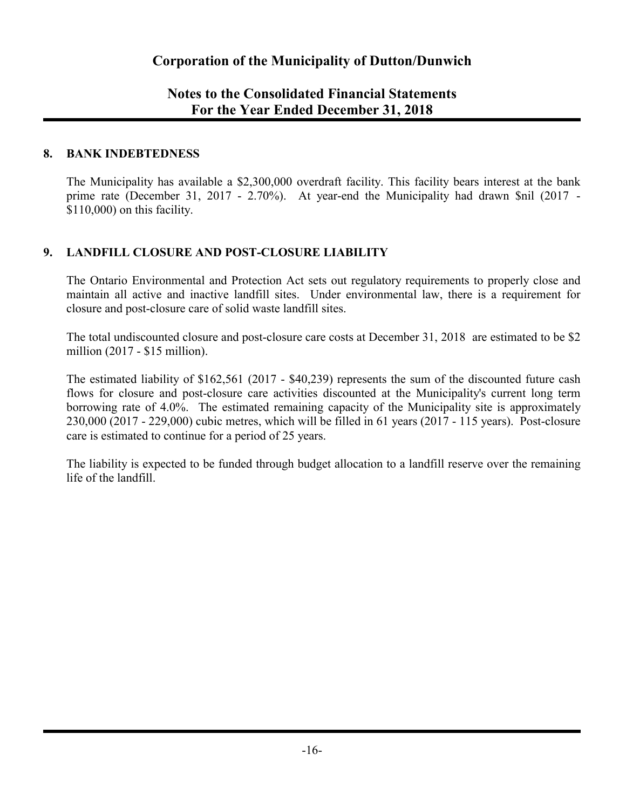## **Notes to the Consolidated Financial Statements For the Year Ended December 31, 2018**

### **8. BANK INDEBTEDNESS**

The Municipality has available a \$2,300,000 overdraft facility. This facility bears interest at the bank prime rate (December 31, 2017 - 2.70%). At year-end the Municipality had drawn \$nil (2017 - \$110,000) on this facility.

## **9. LANDFILL CLOSURE AND POST-CLOSURE LIABILITY**

The Ontario Environmental and Protection Act sets out regulatory requirements to properly close and maintain all active and inactive landfill sites. Under environmental law, there is a requirement for closure and post-closure care of solid waste landfill sites.

The total undiscounted closure and post-closure care costs at December 31, 2018 are estimated to be \$2 million (2017 - \$15 million).

The estimated liability of \$162,561 (2017 - \$40,239) represents the sum of the discounted future cash flows for closure and post-closure care activities discounted at the Municipality's current long term borrowing rate of 4.0%. The estimated remaining capacity of the Municipality site is approximately 230,000 (2017 - 229,000) cubic metres, which will be filled in 61 years (2017 - 115 years). Post-closure care is estimated to continue for a period of 25 years.

The liability is expected to be funded through budget allocation to a landfill reserve over the remaining life of the landfill.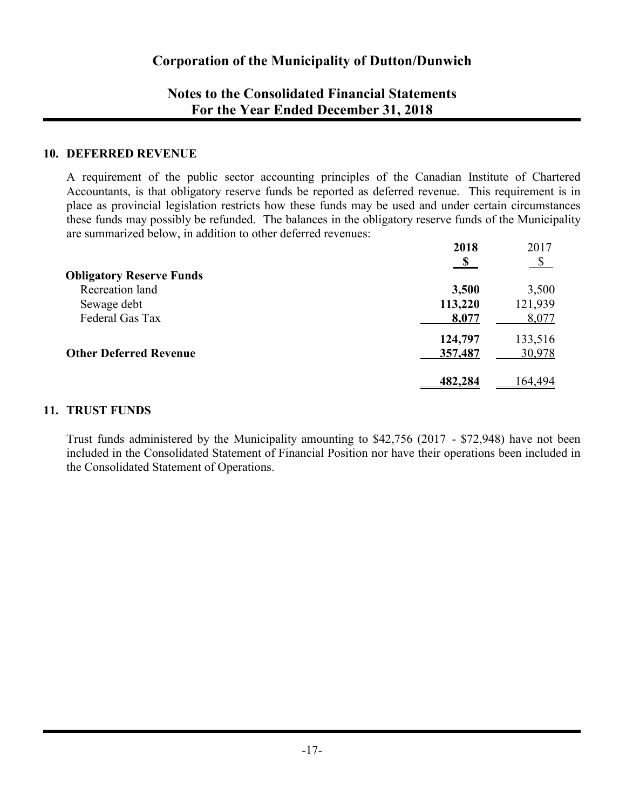## **Notes to the Consolidated Financial Statements For the Year Ended December 31, 2018**

#### **10. DEFERRED REVENUE**

A requirement of the public sector accounting principles of the Canadian Institute of Chartered Accountants, is that obligatory reserve funds be reported as deferred revenue. This requirement is in place as provincial legislation restricts how these funds may be used and under certain circumstances these funds may possibly be refunded. The balances in the obligatory reserve funds of the Municipality are summarized below, in addition to other deferred revenues:

|                                 | 2018          | 2017          |
|---------------------------------|---------------|---------------|
|                                 | $\mathbf{\$}$ | $\mathcal{S}$ |
| <b>Obligatory Reserve Funds</b> |               |               |
| Recreation land                 | 3,500         | 3,500         |
| Sewage debt                     | 113,220       | 121,939       |
| Federal Gas Tax                 | 8,077         | 8,077         |
|                                 | 124,797       | 133,516       |
| <b>Other Deferred Revenue</b>   | 357,487       | 30,978        |
|                                 | 482,284       | 164 494       |
|                                 |               |               |

## **11. TRUST FUNDS**

Trust funds administered by the Municipality amounting to \$42,756 (2017 - \$72,948) have not been included in the Consolidated Statement of Financial Position nor have their operations been included in the Consolidated Statement of Operations.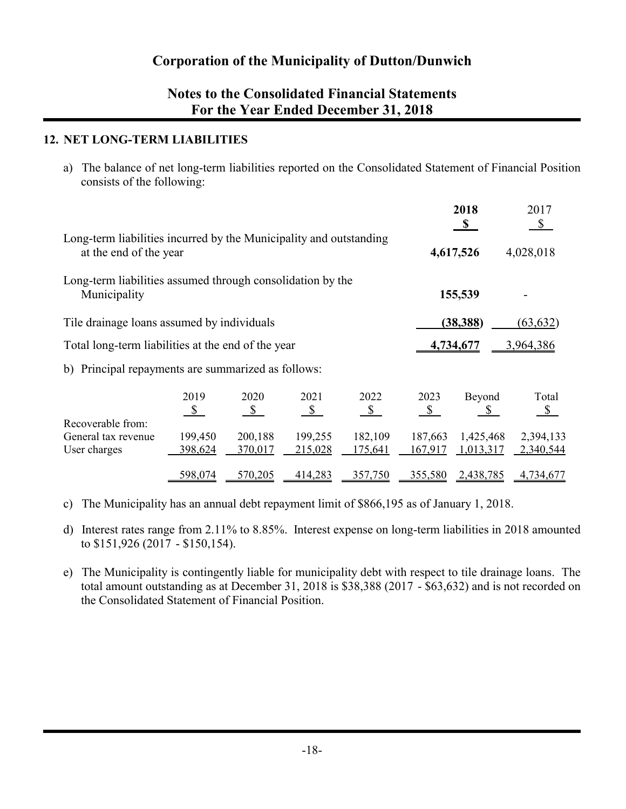## **Notes to the Consolidated Financial Statements For the Year Ended December 31, 2018**

## **12. NET LONG-TERM LIABILITIES**

a) The balance of net long-term liabilities reported on the Consolidated Statement of Financial Position consists of the following:

| Long-term liabilities incurred by the Municipality and outstanding<br>at the end of the year |                           |                              |                       |                                             |                        | 2018<br>$\mathbf{s}$<br>4,617,526 | 2017<br>\$<br>4,028,018 |
|----------------------------------------------------------------------------------------------|---------------------------|------------------------------|-----------------------|---------------------------------------------|------------------------|-----------------------------------|-------------------------|
| Long-term liabilities assumed through consolidation by the<br>Municipality                   |                           |                              |                       |                                             |                        | 155,539                           |                         |
| Tile drainage loans assumed by individuals                                                   |                           |                              |                       |                                             |                        | (38, 388)                         | (63, 632)               |
| Total long-term liabilities at the end of the year                                           |                           |                              |                       |                                             | 4,734,677<br>3,964,386 |                                   |                         |
| b) Principal repayments are summarized as follows:                                           |                           |                              |                       |                                             |                        |                                   |                         |
| Recoverable from:                                                                            | 2019<br>S                 | 2020<br>$\sqrt{\frac{2}{2}}$ | 2021<br>$\frac{1}{2}$ | 2022<br>$\mathbf{\underline{\mathfrak{S}}}$ | 2023<br>$\mathcal{S}$  | Beyond<br>$\mathbb{S}$            | Total<br>$\mathcal{S}$  |
| General tax revenue<br>User charges                                                          | 199,450<br><u>398,624</u> | 200,188<br>370,017           | 199,255<br>215,028    | 182,109<br>175,641                          | 187,663<br>167,917     | 1,425,468<br>1,013,317            | 2,394,133<br>2,340,544  |
|                                                                                              | 598,074                   | 570,205                      | 414,283               | 357,750                                     | 355,580                | 2,438,785                         | 4,734,677               |

- c) The Municipality has an annual debt repayment limit of \$866,195 as of January 1, 2018.
- d) Interest rates range from 2.11% to 8.85%. Interest expense on long-term liabilities in 2018 amounted to \$151,926 (2017 - \$150,154).
- e) The Municipality is contingently liable for municipality debt with respect to tile drainage loans. The total amount outstanding as at December 31, 2018 is \$38,388 (2017 - \$63,632) and is not recorded on the Consolidated Statement of Financial Position.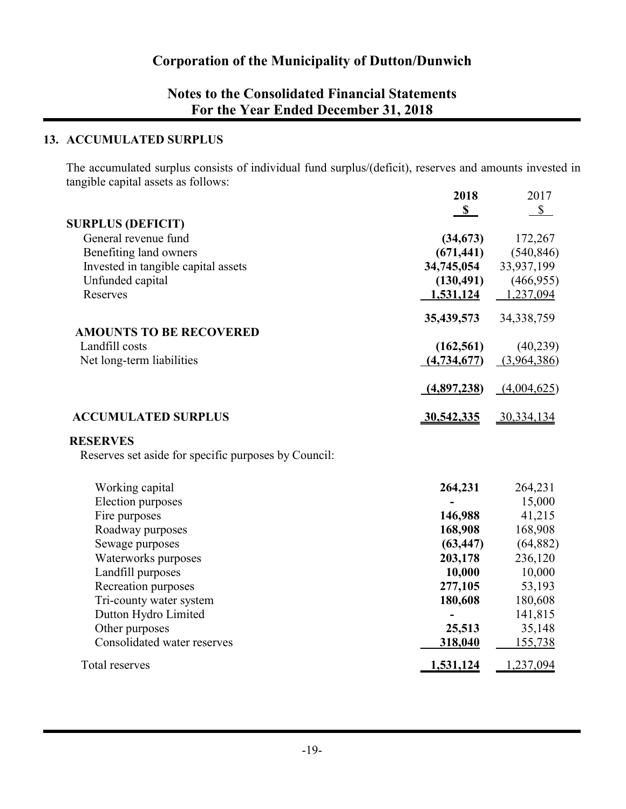# **Notes to the Consolidated Financial Statements For the Year Ended December 31, 2018**

## **13. ACCUMULATED SURPLUS**

The accumulated surplus consists of individual fund surplus/(deficit), reserves and amounts invested in tangible capital assets as follows: **2018** 2017

|                                                      | 2010        | 2017         |
|------------------------------------------------------|-------------|--------------|
|                                                      | $\mathbf S$ | $\mathbb{S}$ |
| <b>SURPLUS (DEFICIT)</b>                             |             |              |
| General revenue fund                                 | (34,673)    | 172,267      |
| Benefiting land owners                               | (671, 441)  | (540, 846)   |
| Invested in tangible capital assets                  | 34,745,054  | 33,937,199   |
| Unfunded capital                                     | (130, 491)  | (466, 955)   |
| Reserves                                             | 1,531,124   | 1,237,094    |
|                                                      | 35,439,573  | 34, 338, 759 |
| <b>AMOUNTS TO BE RECOVERED</b>                       |             |              |
| Landfill costs                                       | (162, 561)  | (40,239)     |
| Net long-term liabilities                            | (4,734,677) | (3,964,386)  |
|                                                      | (4,897,238) | (4,004,625)  |
| <b>ACCUMULATED SURPLUS</b>                           | 30,542,335  | 30,334,134   |
| <b>RESERVES</b>                                      |             |              |
| Reserves set aside for specific purposes by Council: |             |              |
| Working capital                                      | 264,231     | 264,231      |
| <b>Election</b> purposes                             |             | 15,000       |
| Fire purposes                                        | 146,988     | 41,215       |
| Roadway purposes                                     | 168,908     | 168,908      |
| Sewage purposes                                      | (63, 447)   | (64, 882)    |
| Waterworks purposes                                  | 203,178     | 236,120      |
| Landfill purposes                                    | 10,000      | 10,000       |
| Recreation purposes                                  | 277,105     | 53,193       |
| Tri-county water system                              | 180,608     | 180,608      |
| Dutton Hydro Limited                                 |             | 141,815      |
| Other purposes                                       | 25,513      | 35,148       |
| Consolidated water reserves                          | 318,040     | 155,738      |
| Total reserves                                       | 1,531,124   | 1,237,094    |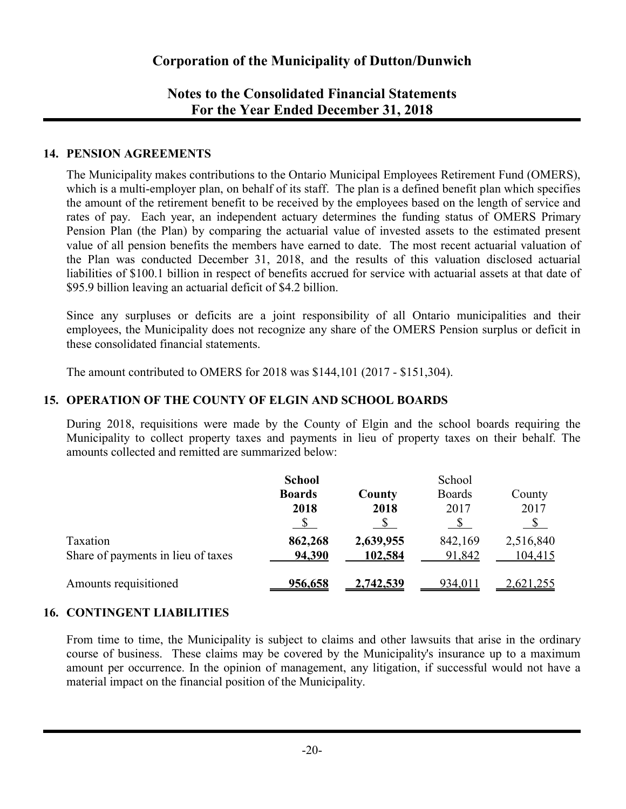## **Notes to the Consolidated Financial Statements For the Year Ended December 31, 2018**

### **14. PENSION AGREEMENTS**

The Municipality makes contributions to the Ontario Municipal Employees Retirement Fund (OMERS), which is a multi-employer plan, on behalf of its staff. The plan is a defined benefit plan which specifies the amount of the retirement benefit to be received by the employees based on the length of service and rates of pay. Each year, an independent actuary determines the funding status of OMERS Primary Pension Plan (the Plan) by comparing the actuarial value of invested assets to the estimated present value of all pension benefits the members have earned to date. The most recent actuarial valuation of the Plan was conducted December 31, 2018, and the results of this valuation disclosed actuarial liabilities of \$100.1 billion in respect of benefits accrued for service with actuarial assets at that date of \$95.9 billion leaving an actuarial deficit of \$4.2 billion.

Since any surpluses or deficits are a joint responsibility of all Ontario municipalities and their employees, the Municipality does not recognize any share of the OMERS Pension surplus or deficit in these consolidated financial statements.

The amount contributed to OMERS for 2018 was \$144,101 (2017 - \$151,304).

## **15. OPERATION OF THE COUNTY OF ELGIN AND SCHOOL BOARDS**

During 2018, requisitions were made by the County of Elgin and the school boards requiring the Municipality to collect property taxes and payments in lieu of property taxes on their behalf. The amounts collected and remitted are summarized below:

|                                    | <b>School</b> |           | School        |           |
|------------------------------------|---------------|-----------|---------------|-----------|
|                                    | <b>Boards</b> | County    | <b>Boards</b> | County    |
|                                    | 2018          | 2018      | 2017          | 2017      |
|                                    |               |           |               |           |
| Taxation                           | 862,268       | 2,639,955 | 842,169       | 2,516,840 |
| Share of payments in lieu of taxes | 94,390        | 102,584   | 91,842        | 104,415   |
| Amounts requisitioned              | 956,658       | 2,742,539 | 934,011       | .621,255  |

## **16. CONTINGENT LIABILITIES**

From time to time, the Municipality is subject to claims and other lawsuits that arise in the ordinary course of business. These claims may be covered by the Municipality's insurance up to a maximum amount per occurrence. In the opinion of management, any litigation, if successful would not have a material impact on the financial position of the Municipality.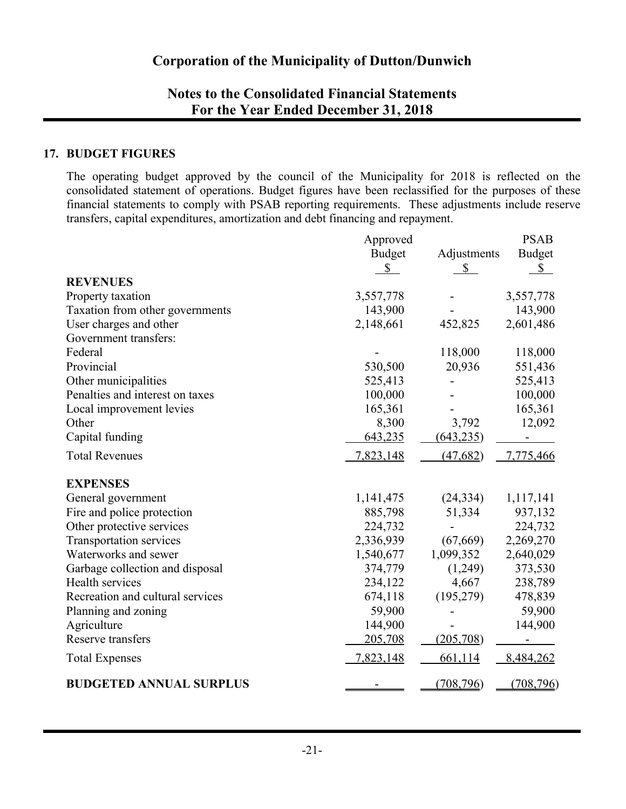## **Notes to the Consolidated Financial Statements For the Year Ended December 31, 2018**

## **17. BUDGET FIGURES**

The operating budget approved by the council of the Municipality for 2018 is reflected on the consolidated statement of operations. Budget figures have been reclassified for the purposes of these financial statements to comply with PSAB reporting requirements. These adjustments include reserve transfers, capital expenditures, amortization and debt financing and repayment.

|                                  | Approved      |              | <b>PSAB</b>   |
|----------------------------------|---------------|--------------|---------------|
|                                  | <b>Budget</b> | Adjustments  | <b>Budget</b> |
|                                  | $\mathbb{S}$  | $\mathbb{S}$ | \$            |
| <b>REVENUES</b>                  |               |              |               |
| Property taxation                | 3,557,778     |              | 3,557,778     |
| Taxation from other governments  | 143,900       |              | 143,900       |
| User charges and other           | 2,148,661     | 452,825      | 2,601,486     |
| Government transfers:            |               |              |               |
| Federal                          |               | 118,000      | 118,000       |
| Provincial                       | 530,500       | 20,936       | 551,436       |
| Other municipalities             | 525,413       |              | 525,413       |
| Penalties and interest on taxes  | 100,000       |              | 100,000       |
| Local improvement levies         | 165,361       |              | 165,361       |
| Other                            | 8,300         | 3,792        | 12,092        |
| Capital funding                  | 643,235       | (643, 235)   |               |
| <b>Total Revenues</b>            | 7,823,148     | (47, 682)    | 7,775,466     |
| <b>EXPENSES</b>                  |               |              |               |
| General government               | 1,141,475     | (24, 334)    | 1,117,141     |
| Fire and police protection       | 885,798       | 51,334       | 937,132       |
| Other protective services        | 224,732       |              | 224,732       |
| Transportation services          | 2,336,939     | (67, 669)    | 2,269,270     |
| Waterworks and sewer             | 1,540,677     | 1,099,352    | 2,640,029     |
| Garbage collection and disposal  | 374,779       | (1,249)      | 373,530       |
| Health services                  | 234,122       | 4,667        | 238,789       |
| Recreation and cultural services | 674,118       | (195, 279)   | 478,839       |
| Planning and zoning              | 59,900        |              | 59,900        |
| Agriculture                      | 144,900       |              | 144,900       |
| Reserve transfers                | 205,708       | (205,708)    |               |
| <b>Total Expenses</b>            | 7,823,148     | 661,114      | 8,484,262     |
| <b>BUDGETED ANNUAL SURPLUS</b>   |               | (708, 796)   | (708, 796)    |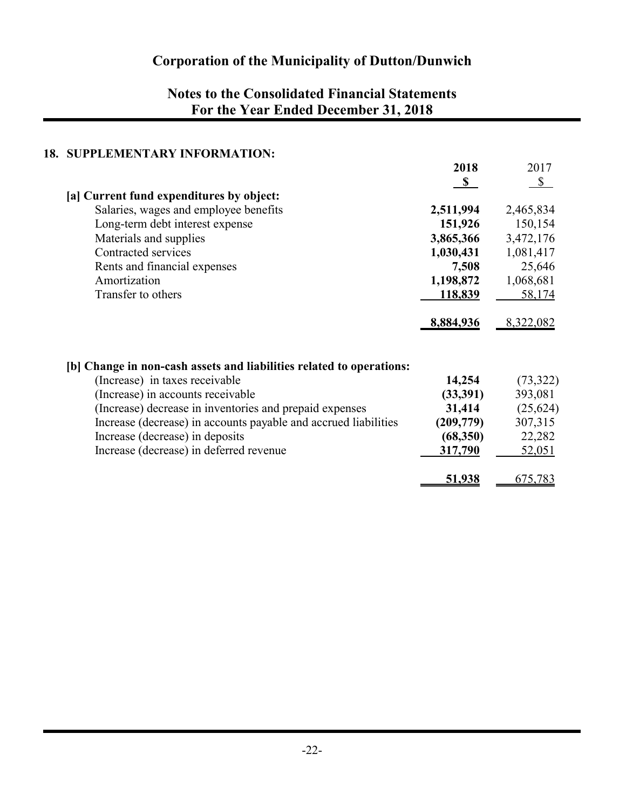# **Notes to the Consolidated Financial Statements For the Year Ended December 31, 2018**

## **18. SUPPLEMENTARY INFORMATION:**

|                                                                      | 2018        | 2017      |
|----------------------------------------------------------------------|-------------|-----------|
|                                                                      | $\mathbf S$ | \$        |
| [a] Current fund expenditures by object:                             |             |           |
| Salaries, wages and employee benefits                                | 2,511,994   | 2,465,834 |
| Long-term debt interest expense                                      | 151,926     | 150,154   |
| Materials and supplies                                               | 3,865,366   | 3,472,176 |
| Contracted services                                                  | 1,030,431   | 1,081,417 |
| Rents and financial expenses                                         | 7,508       | 25,646    |
| Amortization                                                         | 1,198,872   | 1,068,681 |
| Transfer to others                                                   | 118,839     | 58,174    |
|                                                                      | 8,884,936   | 8,322,082 |
| [b] Change in non-cash assets and liabilities related to operations: |             |           |
| (Increase) in taxes receivable                                       | 14,254      | (73, 322) |
| (Increase) in accounts receivable                                    | (33,391)    | 393,081   |
| (Increase) decrease in inventories and prepaid expenses              | 31,414      | (25, 624) |
| Increase (decrease) in accounts payable and accrued liabilities      | (209,779)   | 307,315   |
| Increase (decrease) in deposits                                      | (68,350)    | 22,282    |
| Increase (decrease) in deferred revenue                              | 317,790     | 52,051    |
|                                                                      | 51,938      | 675,783   |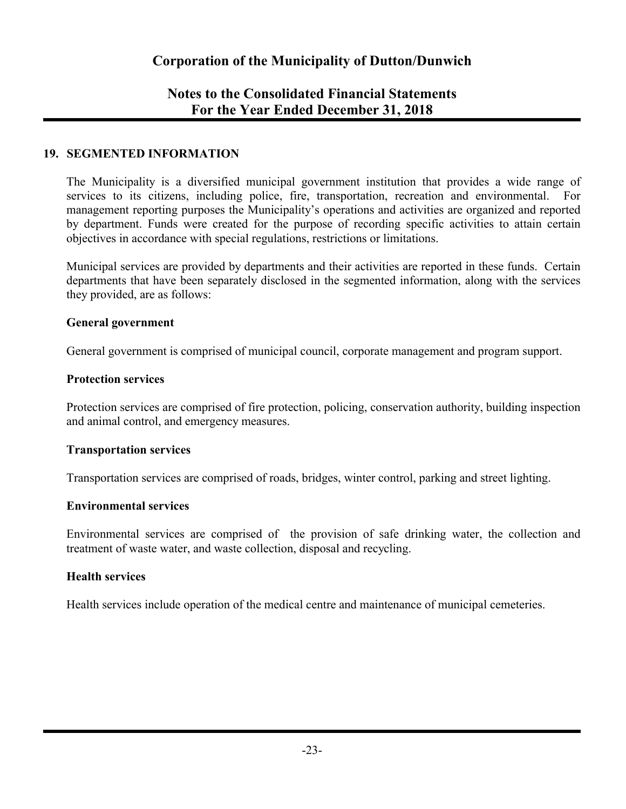## **Notes to the Consolidated Financial Statements For the Year Ended December 31, 2018**

## **19. SEGMENTED INFORMATION**

The Municipality is a diversified municipal government institution that provides a wide range of services to its citizens, including police, fire, transportation, recreation and environmental. For management reporting purposes the Municipality's operations and activities are organized and reported by department. Funds were created for the purpose of recording specific activities to attain certain objectives in accordance with special regulations, restrictions or limitations.

Municipal services are provided by departments and their activities are reported in these funds. Certain departments that have been separately disclosed in the segmented information, along with the services they provided, are as follows:

#### **General government**

General government is comprised of municipal council, corporate management and program support.

#### **Protection services**

Protection services are comprised of fire protection, policing, conservation authority, building inspection and animal control, and emergency measures.

#### **Transportation services**

Transportation services are comprised of roads, bridges, winter control, parking and street lighting.

#### **Environmental services**

Environmental services are comprised of the provision of safe drinking water, the collection and treatment of waste water, and waste collection, disposal and recycling.

#### **Health services**

Health services include operation of the medical centre and maintenance of municipal cemeteries.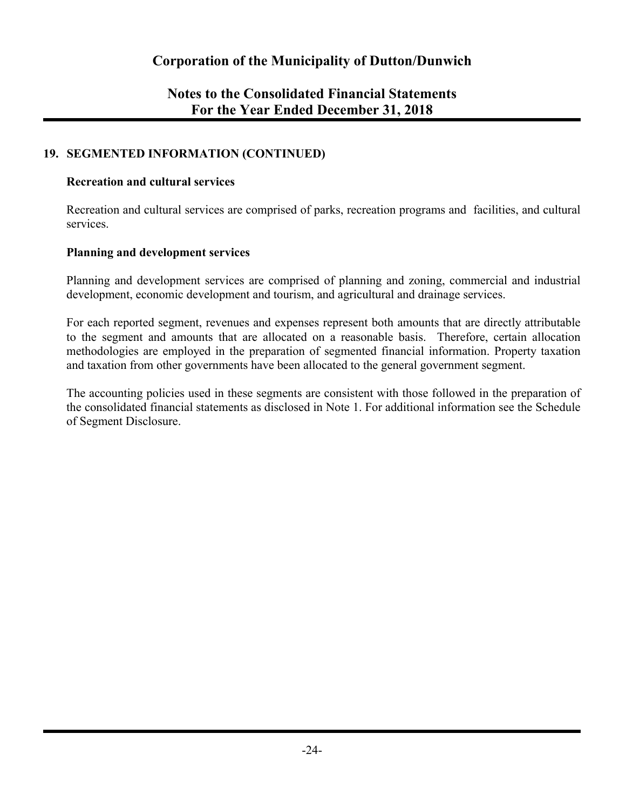## **Notes to the Consolidated Financial Statements For the Year Ended December 31, 2018**

## **19. SEGMENTED INFORMATION (CONTINUED)**

#### **Recreation and cultural services**

Recreation and cultural services are comprised of parks, recreation programs and facilities, and cultural services.

#### **Planning and development services**

Planning and development services are comprised of planning and zoning, commercial and industrial development, economic development and tourism, and agricultural and drainage services.

For each reported segment, revenues and expenses represent both amounts that are directly attributable to the segment and amounts that are allocated on a reasonable basis. Therefore, certain allocation methodologies are employed in the preparation of segmented financial information. Property taxation and taxation from other governments have been allocated to the general government segment.

The accounting policies used in these segments are consistent with those followed in the preparation of the consolidated financial statements as disclosed in Note 1. For additional information see the Schedule of Segment Disclosure.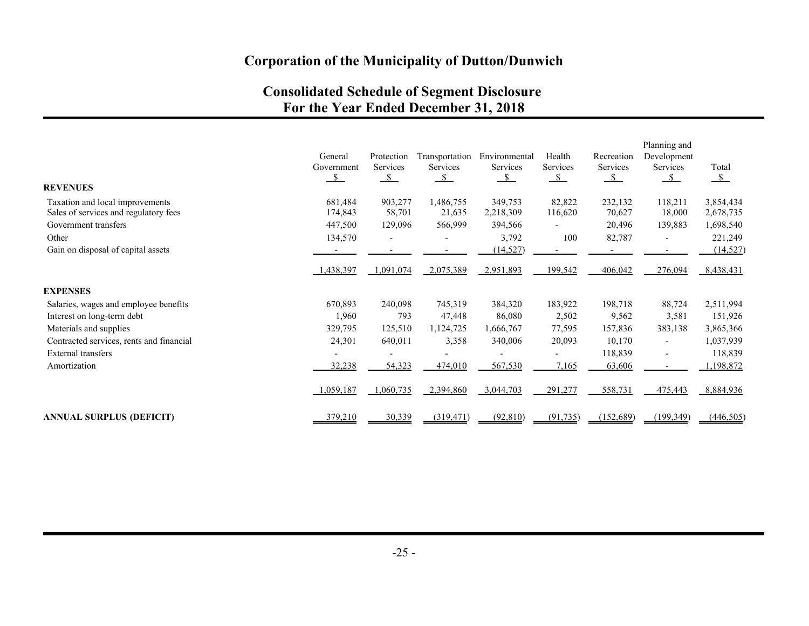# **Consolidated Schedule of Segment Disclosure For the Year Ended December 31, 2018**

| <b>REVENUES</b>                          | General<br>Government<br>$\frac{\text{S}}{\text{S}}$ | Protection<br>Services<br>$\mathcal{S}$ | Transportation<br>Services<br>$\mathcal{S}$ | Environmental<br>Services<br>$\mathcal{S}$ | Health<br>Services<br>$\mathcal{S}$ | Recreation<br>Services<br>$\mathcal{S}$ | Planning and<br>Development<br>Services<br>$\mathcal{S}$ | Total<br>$\mathcal{S}$ |
|------------------------------------------|------------------------------------------------------|-----------------------------------------|---------------------------------------------|--------------------------------------------|-------------------------------------|-----------------------------------------|----------------------------------------------------------|------------------------|
| Taxation and local improvements          | 681,484                                              | 903,277                                 | 1,486,755                                   | 349,753                                    | 82,822                              | 232,132                                 | 118,211                                                  | 3,854,434              |
| Sales of services and regulatory fees    | 174,843                                              | 58,701                                  | 21,635                                      | 2,218,309                                  | 116,620                             | 70,627                                  | 18,000                                                   | 2,678,735              |
| Government transfers                     | 447,500                                              | 129,096                                 | 566,999                                     | 394,566                                    |                                     | 20,496                                  | 139,883                                                  | 1,698,540              |
| Other                                    | 134,570                                              |                                         |                                             | 3,792                                      | 100                                 | 82,787                                  |                                                          | 221,249                |
| Gain on disposal of capital assets       |                                                      |                                         |                                             | (14, 527)                                  |                                     |                                         |                                                          | (14, 527)              |
|                                          | 1,438,397                                            | 1,091,074                               | 2,075,389                                   | 2,951,893                                  | 199,542                             | 406,042                                 | 276,094                                                  | 8,438,431              |
| <b>EXPENSES</b>                          |                                                      |                                         |                                             |                                            |                                     |                                         |                                                          |                        |
| Salaries, wages and employee benefits    | 670,893                                              | 240,098                                 | 745,319                                     | 384,320                                    | 183,922                             | 198,718                                 | 88,724                                                   | 2,511,994              |
| Interest on long-term debt               | 1,960                                                | 793                                     | 47,448                                      | 86,080                                     | 2,502                               | 9,562                                   | 3,581                                                    | 151,926                |
| Materials and supplies                   | 329,795                                              | 125,510                                 | 1,124,725                                   | 1,666,767                                  | 77,595                              | 157,836                                 | 383,138                                                  | 3,865,366              |
| Contracted services, rents and financial | 24,301                                               | 640,011                                 | 3,358                                       | 340,006                                    | 20,093                              | 10,170                                  |                                                          | 1,037,939              |
| External transfers                       |                                                      |                                         |                                             |                                            |                                     | 118,839                                 |                                                          | 118,839                |
| Amortization                             | 32,238                                               | 54,323                                  | 474,010                                     | 567,530                                    | 7,165                               | 63,606                                  | $\overline{\phantom{a}}$                                 | 198,872                |
|                                          | 1,059,187                                            | 1,060,735                               | 2,394,860                                   | 3,044,703                                  | 291,277                             | 558,731                                 | 475,443                                                  | 8,884,936              |
| <b>ANNUAL SURPLUS (DEFICIT)</b>          | 379,210                                              | 30,339                                  | (319, 471)                                  | (92, 810)                                  | (91, 735)                           | (152,689)                               | (199,349)                                                | (446, 505)             |